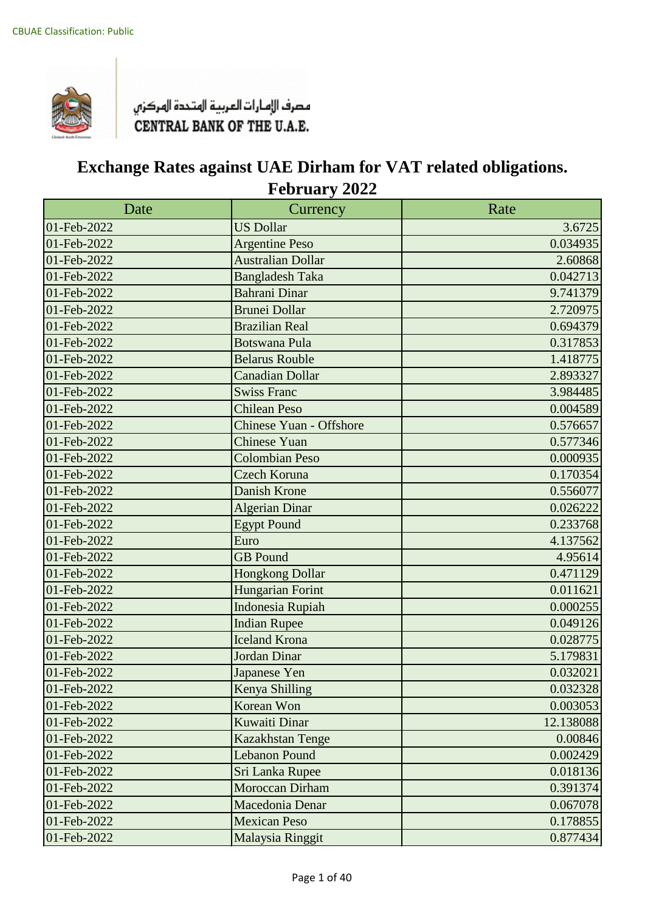

| Date        | Currency                       | Rate      |
|-------------|--------------------------------|-----------|
| 01-Feb-2022 | <b>US Dollar</b>               | 3.6725    |
| 01-Feb-2022 | <b>Argentine Peso</b>          | 0.034935  |
| 01-Feb-2022 | <b>Australian Dollar</b>       | 2.60868   |
| 01-Feb-2022 | <b>Bangladesh Taka</b>         | 0.042713  |
| 01-Feb-2022 | <b>Bahrani Dinar</b>           | 9.741379  |
| 01-Feb-2022 | <b>Brunei Dollar</b>           | 2.720975  |
| 01-Feb-2022 | <b>Brazilian Real</b>          | 0.694379  |
| 01-Feb-2022 | <b>Botswana Pula</b>           | 0.317853  |
| 01-Feb-2022 | <b>Belarus Rouble</b>          | 1.418775  |
| 01-Feb-2022 | <b>Canadian Dollar</b>         | 2.893327  |
| 01-Feb-2022 | <b>Swiss Franc</b>             | 3.984485  |
| 01-Feb-2022 | <b>Chilean Peso</b>            | 0.004589  |
| 01-Feb-2022 | <b>Chinese Yuan - Offshore</b> | 0.576657  |
| 01-Feb-2022 | <b>Chinese Yuan</b>            | 0.577346  |
| 01-Feb-2022 | <b>Colombian Peso</b>          | 0.000935  |
| 01-Feb-2022 | Czech Koruna                   | 0.170354  |
| 01-Feb-2022 | <b>Danish Krone</b>            | 0.556077  |
| 01-Feb-2022 | <b>Algerian Dinar</b>          | 0.026222  |
| 01-Feb-2022 | <b>Egypt Pound</b>             | 0.233768  |
| 01-Feb-2022 | Euro                           | 4.137562  |
| 01-Feb-2022 | <b>GB</b> Pound                | 4.95614   |
| 01-Feb-2022 | <b>Hongkong Dollar</b>         | 0.471129  |
| 01-Feb-2022 | Hungarian Forint               | 0.011621  |
| 01-Feb-2022 | <b>Indonesia Rupiah</b>        | 0.000255  |
| 01-Feb-2022 | <b>Indian Rupee</b>            | 0.049126  |
| 01-Feb-2022 | <b>Iceland Krona</b>           | 0.028775  |
| 01-Feb-2022 | <b>Jordan Dinar</b>            | 5.179831  |
| 01-Feb-2022 | Japanese Yen                   | 0.032021  |
| 01-Feb-2022 | Kenya Shilling                 | 0.032328  |
| 01-Feb-2022 | Korean Won                     | 0.003053  |
| 01-Feb-2022 | Kuwaiti Dinar                  | 12.138088 |
| 01-Feb-2022 | Kazakhstan Tenge               | 0.00846   |
| 01-Feb-2022 | <b>Lebanon Pound</b>           | 0.002429  |
| 01-Feb-2022 | Sri Lanka Rupee                | 0.018136  |
| 01-Feb-2022 | Moroccan Dirham                | 0.391374  |
| 01-Feb-2022 | Macedonia Denar                | 0.067078  |
| 01-Feb-2022 | <b>Mexican Peso</b>            | 0.178855  |
| 01-Feb-2022 | Malaysia Ringgit               | 0.877434  |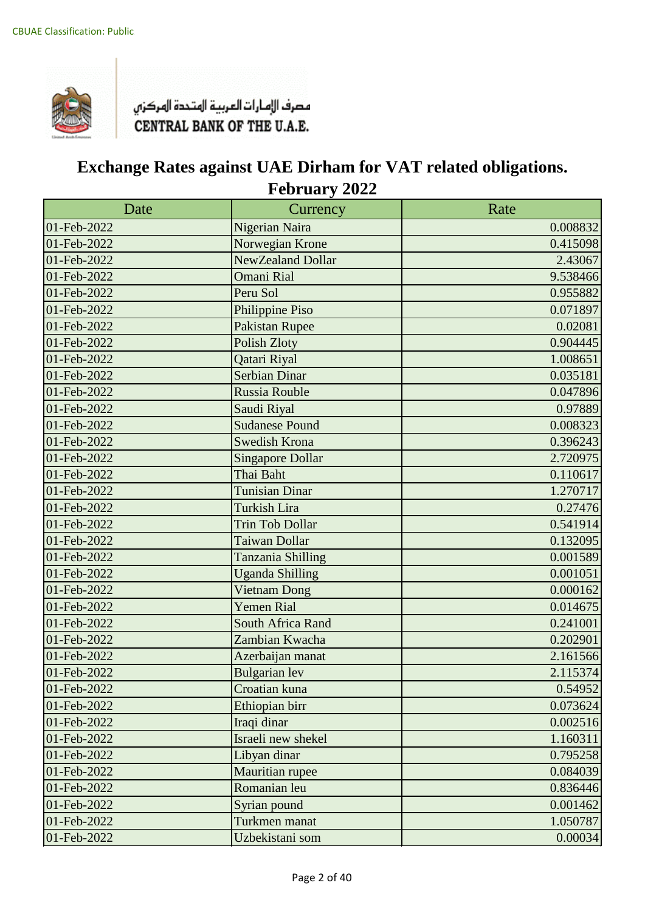

| Date        | Currency                | Rate     |
|-------------|-------------------------|----------|
| 01-Feb-2022 | Nigerian Naira          | 0.008832 |
| 01-Feb-2022 | Norwegian Krone         | 0.415098 |
| 01-Feb-2022 | NewZealand Dollar       | 2.43067  |
| 01-Feb-2022 | Omani Rial              | 9.538466 |
| 01-Feb-2022 | Peru Sol                | 0.955882 |
| 01-Feb-2022 | Philippine Piso         | 0.071897 |
| 01-Feb-2022 | <b>Pakistan Rupee</b>   | 0.02081  |
| 01-Feb-2022 | <b>Polish Zloty</b>     | 0.904445 |
| 01-Feb-2022 | Qatari Riyal            | 1.008651 |
| 01-Feb-2022 | Serbian Dinar           | 0.035181 |
| 01-Feb-2022 | Russia Rouble           | 0.047896 |
| 01-Feb-2022 | Saudi Riyal             | 0.97889  |
| 01-Feb-2022 | <b>Sudanese Pound</b>   | 0.008323 |
| 01-Feb-2022 | Swedish Krona           | 0.396243 |
| 01-Feb-2022 | <b>Singapore Dollar</b> | 2.720975 |
| 01-Feb-2022 | Thai Baht               | 0.110617 |
| 01-Feb-2022 | <b>Tunisian Dinar</b>   | 1.270717 |
| 01-Feb-2022 | <b>Turkish Lira</b>     | 0.27476  |
| 01-Feb-2022 | <b>Trin Tob Dollar</b>  | 0.541914 |
| 01-Feb-2022 | Taiwan Dollar           | 0.132095 |
| 01-Feb-2022 | Tanzania Shilling       | 0.001589 |
| 01-Feb-2022 | <b>Uganda Shilling</b>  | 0.001051 |
| 01-Feb-2022 | <b>Vietnam Dong</b>     | 0.000162 |
| 01-Feb-2022 | <b>Yemen Rial</b>       | 0.014675 |
| 01-Feb-2022 | South Africa Rand       | 0.241001 |
| 01-Feb-2022 | Zambian Kwacha          | 0.202901 |
| 01-Feb-2022 | Azerbaijan manat        | 2.161566 |
| 01-Feb-2022 | <b>Bulgarian</b> lev    | 2.115374 |
| 01-Feb-2022 | Croatian kuna           | 0.54952  |
| 01-Feb-2022 | Ethiopian birr          | 0.073624 |
| 01-Feb-2022 | Iraqi dinar             | 0.002516 |
| 01-Feb-2022 | Israeli new shekel      | 1.160311 |
| 01-Feb-2022 | Libyan dinar            | 0.795258 |
| 01-Feb-2022 | Mauritian rupee         | 0.084039 |
| 01-Feb-2022 | Romanian leu            | 0.836446 |
| 01-Feb-2022 | Syrian pound            | 0.001462 |
| 01-Feb-2022 | Turkmen manat           | 1.050787 |
| 01-Feb-2022 | Uzbekistani som         | 0.00034  |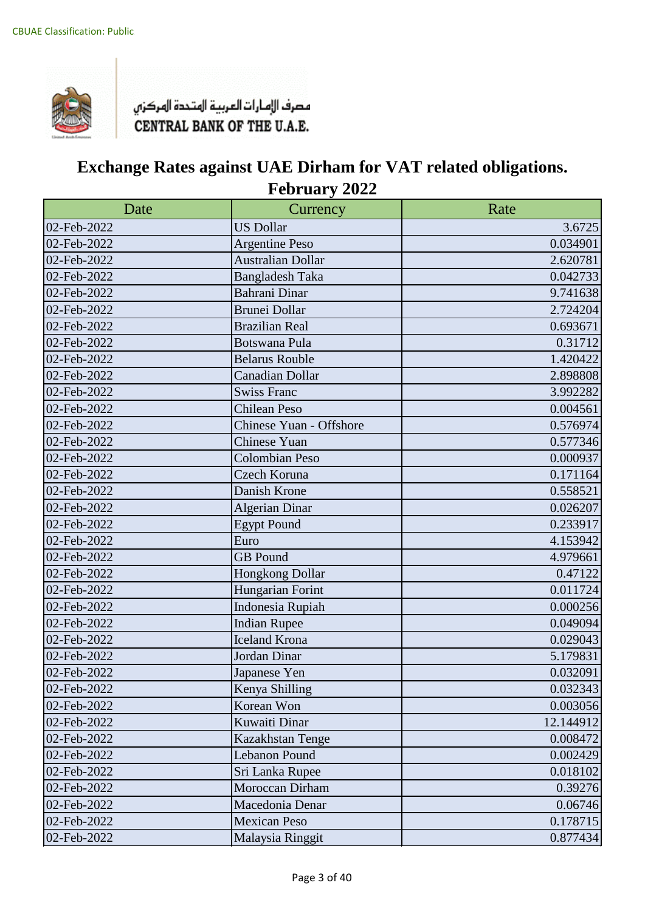

| Date        | Currency                 | Rate      |
|-------------|--------------------------|-----------|
| 02-Feb-2022 | <b>US Dollar</b>         | 3.6725    |
| 02-Feb-2022 | <b>Argentine Peso</b>    | 0.034901  |
| 02-Feb-2022 | <b>Australian Dollar</b> | 2.620781  |
| 02-Feb-2022 | <b>Bangladesh Taka</b>   | 0.042733  |
| 02-Feb-2022 | <b>Bahrani Dinar</b>     | 9.741638  |
| 02-Feb-2022 | <b>Brunei Dollar</b>     | 2.724204  |
| 02-Feb-2022 | <b>Brazilian Real</b>    | 0.693671  |
| 02-Feb-2022 | Botswana Pula            | 0.31712   |
| 02-Feb-2022 | <b>Belarus Rouble</b>    | 1.420422  |
| 02-Feb-2022 | <b>Canadian Dollar</b>   | 2.898808  |
| 02-Feb-2022 | <b>Swiss Franc</b>       | 3.992282  |
| 02-Feb-2022 | <b>Chilean Peso</b>      | 0.004561  |
| 02-Feb-2022 | Chinese Yuan - Offshore  | 0.576974  |
| 02-Feb-2022 | <b>Chinese Yuan</b>      | 0.577346  |
| 02-Feb-2022 | <b>Colombian Peso</b>    | 0.000937  |
| 02-Feb-2022 | Czech Koruna             | 0.171164  |
| 02-Feb-2022 | Danish Krone             | 0.558521  |
| 02-Feb-2022 | <b>Algerian Dinar</b>    | 0.026207  |
| 02-Feb-2022 | <b>Egypt Pound</b>       | 0.233917  |
| 02-Feb-2022 | Euro                     | 4.153942  |
| 02-Feb-2022 | <b>GB</b> Pound          | 4.979661  |
| 02-Feb-2022 | Hongkong Dollar          | 0.47122   |
| 02-Feb-2022 | Hungarian Forint         | 0.011724  |
| 02-Feb-2022 | Indonesia Rupiah         | 0.000256  |
| 02-Feb-2022 | <b>Indian Rupee</b>      | 0.049094  |
| 02-Feb-2022 | <b>Iceland Krona</b>     | 0.029043  |
| 02-Feb-2022 | Jordan Dinar             | 5.179831  |
| 02-Feb-2022 | Japanese Yen             | 0.032091  |
| 02-Feb-2022 | Kenya Shilling           | 0.032343  |
| 02-Feb-2022 | Korean Won               | 0.003056  |
| 02-Feb-2022 | Kuwaiti Dinar            | 12.144912 |
| 02-Feb-2022 | Kazakhstan Tenge         | 0.008472  |
| 02-Feb-2022 | Lebanon Pound            | 0.002429  |
| 02-Feb-2022 | Sri Lanka Rupee          | 0.018102  |
| 02-Feb-2022 | Moroccan Dirham          | 0.39276   |
| 02-Feb-2022 | Macedonia Denar          | 0.06746   |
| 02-Feb-2022 | <b>Mexican Peso</b>      | 0.178715  |
| 02-Feb-2022 | Malaysia Ringgit         | 0.877434  |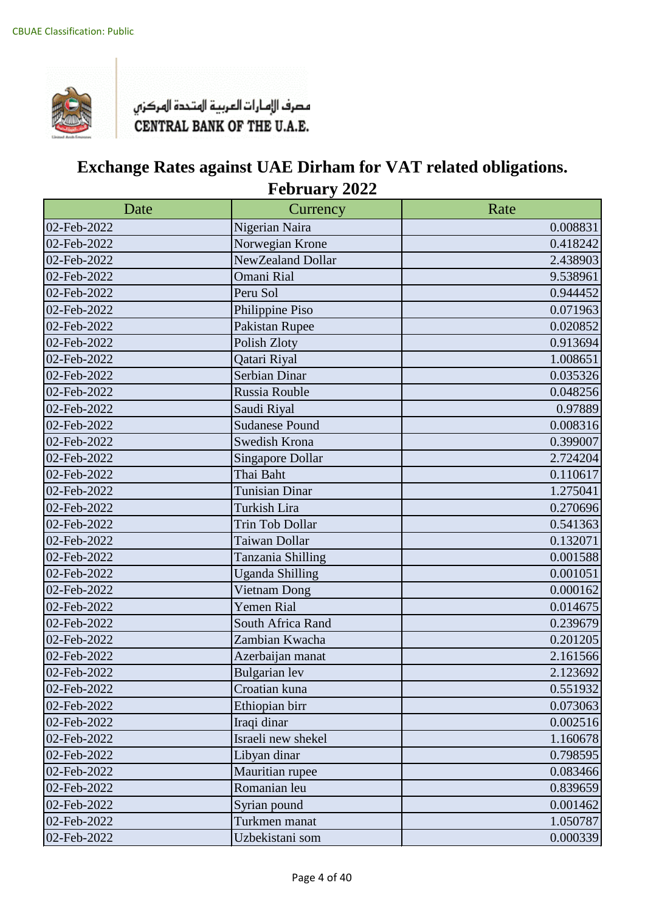

| Date        | Currency                | Rate     |
|-------------|-------------------------|----------|
| 02-Feb-2022 | Nigerian Naira          | 0.008831 |
| 02-Feb-2022 | Norwegian Krone         | 0.418242 |
| 02-Feb-2022 | NewZealand Dollar       | 2.438903 |
| 02-Feb-2022 | Omani Rial              | 9.538961 |
| 02-Feb-2022 | Peru Sol                | 0.944452 |
| 02-Feb-2022 | Philippine Piso         | 0.071963 |
| 02-Feb-2022 | Pakistan Rupee          | 0.020852 |
| 02-Feb-2022 | Polish Zloty            | 0.913694 |
| 02-Feb-2022 | Qatari Riyal            | 1.008651 |
| 02-Feb-2022 | Serbian Dinar           | 0.035326 |
| 02-Feb-2022 | Russia Rouble           | 0.048256 |
| 02-Feb-2022 | Saudi Riyal             | 0.97889  |
| 02-Feb-2022 | <b>Sudanese Pound</b>   | 0.008316 |
| 02-Feb-2022 | Swedish Krona           | 0.399007 |
| 02-Feb-2022 | <b>Singapore Dollar</b> | 2.724204 |
| 02-Feb-2022 | Thai Baht               | 0.110617 |
| 02-Feb-2022 | <b>Tunisian Dinar</b>   | 1.275041 |
| 02-Feb-2022 | Turkish Lira            | 0.270696 |
| 02-Feb-2022 | Trin Tob Dollar         | 0.541363 |
| 02-Feb-2022 | Taiwan Dollar           | 0.132071 |
| 02-Feb-2022 | Tanzania Shilling       | 0.001588 |
| 02-Feb-2022 | <b>Uganda Shilling</b>  | 0.001051 |
| 02-Feb-2022 | Vietnam Dong            | 0.000162 |
| 02-Feb-2022 | <b>Yemen Rial</b>       | 0.014675 |
| 02-Feb-2022 | South Africa Rand       | 0.239679 |
| 02-Feb-2022 | Zambian Kwacha          | 0.201205 |
| 02-Feb-2022 | Azerbaijan manat        | 2.161566 |
| 02-Feb-2022 | <b>Bulgarian</b> lev    | 2.123692 |
| 02-Feb-2022 | Croatian kuna           | 0.551932 |
| 02-Feb-2022 | Ethiopian birr          | 0.073063 |
| 02-Feb-2022 | Iraqi dinar             | 0.002516 |
| 02-Feb-2022 | Israeli new shekel      | 1.160678 |
| 02-Feb-2022 | Libyan dinar            | 0.798595 |
| 02-Feb-2022 | Mauritian rupee         | 0.083466 |
| 02-Feb-2022 | Romanian leu            | 0.839659 |
| 02-Feb-2022 | Syrian pound            | 0.001462 |
| 02-Feb-2022 | Turkmen manat           | 1.050787 |
| 02-Feb-2022 | Uzbekistani som         | 0.000339 |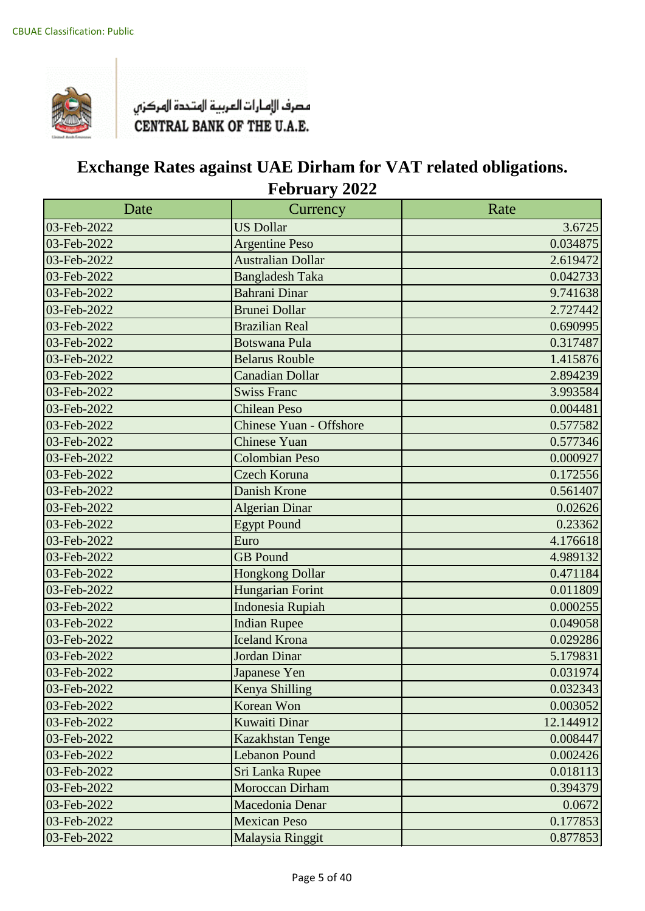

| Date                      | Currency                       | Rate      |
|---------------------------|--------------------------------|-----------|
| 03-Feb-2022               | <b>US Dollar</b>               | 3.6725    |
| 03-Feb-2022               | <b>Argentine Peso</b>          | 0.034875  |
| 03-Feb-2022               | <b>Australian Dollar</b>       | 2.619472  |
| 03-Feb-2022               | <b>Bangladesh Taka</b>         | 0.042733  |
| 03-Feb-2022               | <b>Bahrani Dinar</b>           | 9.741638  |
| 03-Feb-2022               | <b>Brunei Dollar</b>           | 2.727442  |
| 03-Feb-2022               | <b>Brazilian Real</b>          | 0.690995  |
| $\overline{03}$ -Feb-2022 | <b>Botswana Pula</b>           | 0.317487  |
| 03-Feb-2022               | <b>Belarus Rouble</b>          | 1.415876  |
| 03-Feb-2022               | <b>Canadian Dollar</b>         | 2.894239  |
| 03-Feb-2022               | <b>Swiss Franc</b>             | 3.993584  |
| 03-Feb-2022               | <b>Chilean Peso</b>            | 0.004481  |
| 03-Feb-2022               | <b>Chinese Yuan - Offshore</b> | 0.577582  |
| 03-Feb-2022               | <b>Chinese Yuan</b>            | 0.577346  |
| 03-Feb-2022               | <b>Colombian Peso</b>          | 0.000927  |
| 03-Feb-2022               | <b>Czech Koruna</b>            | 0.172556  |
| 03-Feb-2022               | Danish Krone                   | 0.561407  |
| 03-Feb-2022               | Algerian Dinar                 | 0.02626   |
| 03-Feb-2022               | <b>Egypt Pound</b>             | 0.23362   |
| 03-Feb-2022               | Euro                           | 4.176618  |
| 03-Feb-2022               | <b>GB</b> Pound                | 4.989132  |
| 03-Feb-2022               | <b>Hongkong Dollar</b>         | 0.471184  |
| 03-Feb-2022               | <b>Hungarian Forint</b>        | 0.011809  |
| 03-Feb-2022               | <b>Indonesia Rupiah</b>        | 0.000255  |
| 03-Feb-2022               | <b>Indian Rupee</b>            | 0.049058  |
| 03-Feb-2022               | <b>Iceland Krona</b>           | 0.029286  |
| 03-Feb-2022               | Jordan Dinar                   | 5.179831  |
| 03-Feb-2022               | Japanese Yen                   | 0.031974  |
| 03-Feb-2022               | Kenya Shilling                 | 0.032343  |
| 03-Feb-2022               | Korean Won                     | 0.003052  |
| 03-Feb-2022               | Kuwaiti Dinar                  | 12.144912 |
| 03-Feb-2022               | Kazakhstan Tenge               | 0.008447  |
| 03-Feb-2022               | <b>Lebanon Pound</b>           | 0.002426  |
| 03-Feb-2022               | Sri Lanka Rupee                | 0.018113  |
| 03-Feb-2022               | Moroccan Dirham                | 0.394379  |
| 03-Feb-2022               | Macedonia Denar                | 0.0672    |
| 03-Feb-2022               | <b>Mexican Peso</b>            | 0.177853  |
| 03-Feb-2022               | Malaysia Ringgit               | 0.877853  |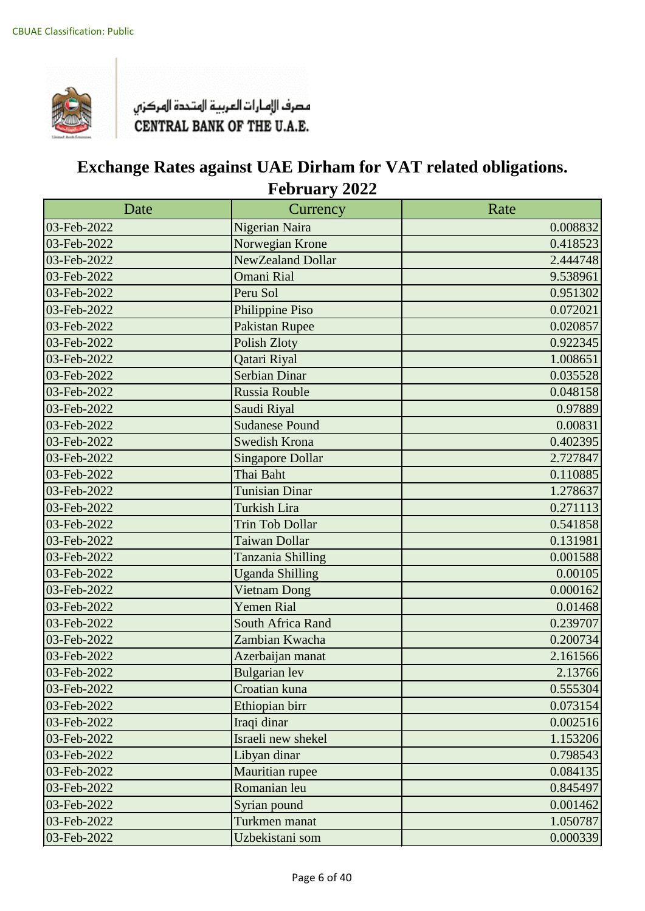

| Date        | Currency                | Rate     |
|-------------|-------------------------|----------|
| 03-Feb-2022 | Nigerian Naira          | 0.008832 |
| 03-Feb-2022 | Norwegian Krone         | 0.418523 |
| 03-Feb-2022 | NewZealand Dollar       | 2.444748 |
| 03-Feb-2022 | <b>Omani Rial</b>       | 9.538961 |
| 03-Feb-2022 | Peru Sol                | 0.951302 |
| 03-Feb-2022 | Philippine Piso         | 0.072021 |
| 03-Feb-2022 | <b>Pakistan Rupee</b>   | 0.020857 |
| 03-Feb-2022 | <b>Polish Zloty</b>     | 0.922345 |
| 03-Feb-2022 | Qatari Riyal            | 1.008651 |
| 03-Feb-2022 | <b>Serbian Dinar</b>    | 0.035528 |
| 03-Feb-2022 | Russia Rouble           | 0.048158 |
| 03-Feb-2022 | Saudi Riyal             | 0.97889  |
| 03-Feb-2022 | <b>Sudanese Pound</b>   | 0.00831  |
| 03-Feb-2022 | Swedish Krona           | 0.402395 |
| 03-Feb-2022 | <b>Singapore Dollar</b> | 2.727847 |
| 03-Feb-2022 | Thai Baht               | 0.110885 |
| 03-Feb-2022 | <b>Tunisian Dinar</b>   | 1.278637 |
| 03-Feb-2022 | Turkish Lira            | 0.271113 |
| 03-Feb-2022 | <b>Trin Tob Dollar</b>  | 0.541858 |
| 03-Feb-2022 | Taiwan Dollar           | 0.131981 |
| 03-Feb-2022 | Tanzania Shilling       | 0.001588 |
| 03-Feb-2022 | <b>Uganda Shilling</b>  | 0.00105  |
| 03-Feb-2022 | <b>Vietnam Dong</b>     | 0.000162 |
| 03-Feb-2022 | <b>Yemen Rial</b>       | 0.01468  |
| 03-Feb-2022 | South Africa Rand       | 0.239707 |
| 03-Feb-2022 | Zambian Kwacha          | 0.200734 |
| 03-Feb-2022 | Azerbaijan manat        | 2.161566 |
| 03-Feb-2022 | <b>Bulgarian</b> lev    | 2.13766  |
| 03-Feb-2022 | Croatian kuna           | 0.555304 |
| 03-Feb-2022 | Ethiopian birr          | 0.073154 |
| 03-Feb-2022 | Iraqi dinar             | 0.002516 |
| 03-Feb-2022 | Israeli new shekel      | 1.153206 |
| 03-Feb-2022 | Libyan dinar            | 0.798543 |
| 03-Feb-2022 | Mauritian rupee         | 0.084135 |
| 03-Feb-2022 | Romanian leu            | 0.845497 |
| 03-Feb-2022 | Syrian pound            | 0.001462 |
| 03-Feb-2022 | Turkmen manat           | 1.050787 |
| 03-Feb-2022 | Uzbekistani som         | 0.000339 |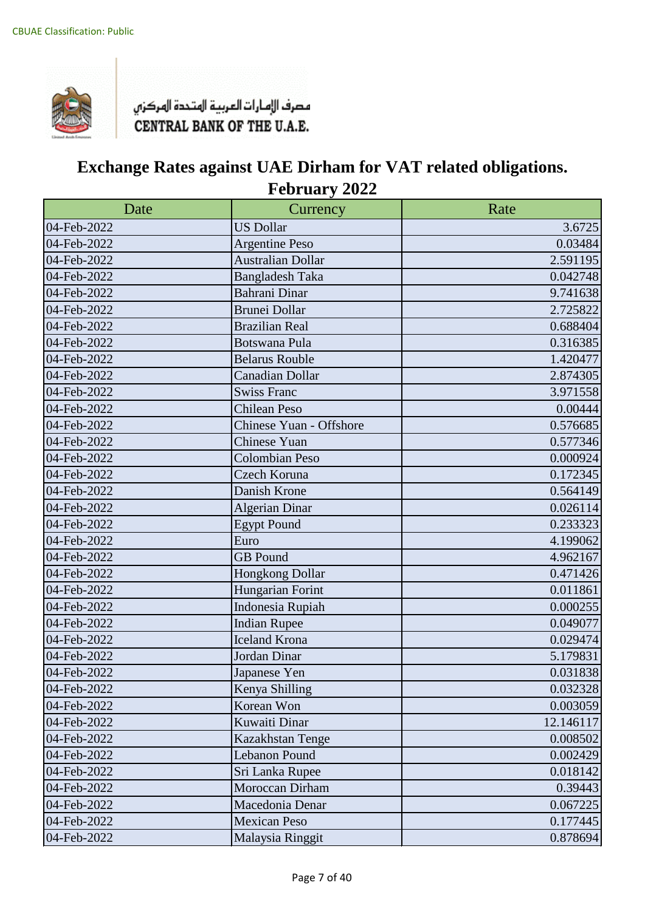

| Date        | Currency                 | Rate      |
|-------------|--------------------------|-----------|
| 04-Feb-2022 | <b>US Dollar</b>         | 3.6725    |
| 04-Feb-2022 | <b>Argentine Peso</b>    | 0.03484   |
| 04-Feb-2022 | <b>Australian Dollar</b> | 2.591195  |
| 04-Feb-2022 | <b>Bangladesh Taka</b>   | 0.042748  |
| 04-Feb-2022 | <b>Bahrani Dinar</b>     | 9.741638  |
| 04-Feb-2022 | <b>Brunei Dollar</b>     | 2.725822  |
| 04-Feb-2022 | <b>Brazilian Real</b>    | 0.688404  |
| 04-Feb-2022 | Botswana Pula            | 0.316385  |
| 04-Feb-2022 | <b>Belarus Rouble</b>    | 1.420477  |
| 04-Feb-2022 | <b>Canadian Dollar</b>   | 2.874305  |
| 04-Feb-2022 | <b>Swiss Franc</b>       | 3.971558  |
| 04-Feb-2022 | <b>Chilean Peso</b>      | 0.00444   |
| 04-Feb-2022 | Chinese Yuan - Offshore  | 0.576685  |
| 04-Feb-2022 | <b>Chinese Yuan</b>      | 0.577346  |
| 04-Feb-2022 | <b>Colombian Peso</b>    | 0.000924  |
| 04-Feb-2022 | Czech Koruna             | 0.172345  |
| 04-Feb-2022 | Danish Krone             | 0.564149  |
| 04-Feb-2022 | <b>Algerian Dinar</b>    | 0.026114  |
| 04-Feb-2022 | <b>Egypt Pound</b>       | 0.233323  |
| 04-Feb-2022 | Euro                     | 4.199062  |
| 04-Feb-2022 | <b>GB</b> Pound          | 4.962167  |
| 04-Feb-2022 | Hongkong Dollar          | 0.471426  |
| 04-Feb-2022 | Hungarian Forint         | 0.011861  |
| 04-Feb-2022 | Indonesia Rupiah         | 0.000255  |
| 04-Feb-2022 | <b>Indian Rupee</b>      | 0.049077  |
| 04-Feb-2022 | <b>Iceland Krona</b>     | 0.029474  |
| 04-Feb-2022 | Jordan Dinar             | 5.179831  |
| 04-Feb-2022 | Japanese Yen             | 0.031838  |
| 04-Feb-2022 | Kenya Shilling           | 0.032328  |
| 04-Feb-2022 | Korean Won               | 0.003059  |
| 04-Feb-2022 | Kuwaiti Dinar            | 12.146117 |
| 04-Feb-2022 | Kazakhstan Tenge         | 0.008502  |
| 04-Feb-2022 | Lebanon Pound            | 0.002429  |
| 04-Feb-2022 | Sri Lanka Rupee          | 0.018142  |
| 04-Feb-2022 | Moroccan Dirham          | 0.39443   |
| 04-Feb-2022 | Macedonia Denar          | 0.067225  |
| 04-Feb-2022 | <b>Mexican Peso</b>      | 0.177445  |
| 04-Feb-2022 | Malaysia Ringgit         | 0.878694  |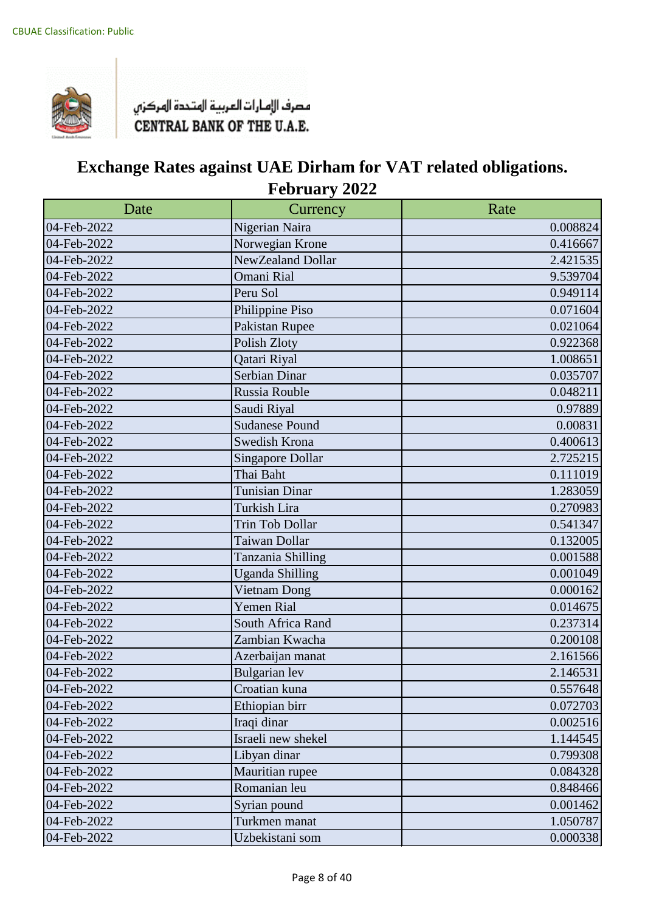

| Date        | Currency                | Rate     |
|-------------|-------------------------|----------|
| 04-Feb-2022 | Nigerian Naira          | 0.008824 |
| 04-Feb-2022 | Norwegian Krone         | 0.416667 |
| 04-Feb-2022 | NewZealand Dollar       | 2.421535 |
| 04-Feb-2022 | Omani Rial              | 9.539704 |
| 04-Feb-2022 | Peru Sol                | 0.949114 |
| 04-Feb-2022 | Philippine Piso         | 0.071604 |
| 04-Feb-2022 | Pakistan Rupee          | 0.021064 |
| 04-Feb-2022 | Polish Zloty            | 0.922368 |
| 04-Feb-2022 | Qatari Riyal            | 1.008651 |
| 04-Feb-2022 | Serbian Dinar           | 0.035707 |
| 04-Feb-2022 | Russia Rouble           | 0.048211 |
| 04-Feb-2022 | Saudi Riyal             | 0.97889  |
| 04-Feb-2022 | <b>Sudanese Pound</b>   | 0.00831  |
| 04-Feb-2022 | Swedish Krona           | 0.400613 |
| 04-Feb-2022 | <b>Singapore Dollar</b> | 2.725215 |
| 04-Feb-2022 | Thai Baht               | 0.111019 |
| 04-Feb-2022 | <b>Tunisian Dinar</b>   | 1.283059 |
| 04-Feb-2022 | Turkish Lira            | 0.270983 |
| 04-Feb-2022 | <b>Trin Tob Dollar</b>  | 0.541347 |
| 04-Feb-2022 | Taiwan Dollar           | 0.132005 |
| 04-Feb-2022 | Tanzania Shilling       | 0.001588 |
| 04-Feb-2022 | <b>Uganda Shilling</b>  | 0.001049 |
| 04-Feb-2022 | Vietnam Dong            | 0.000162 |
| 04-Feb-2022 | <b>Yemen Rial</b>       | 0.014675 |
| 04-Feb-2022 | South Africa Rand       | 0.237314 |
| 04-Feb-2022 | Zambian Kwacha          | 0.200108 |
| 04-Feb-2022 | Azerbaijan manat        | 2.161566 |
| 04-Feb-2022 | <b>Bulgarian</b> lev    | 2.146531 |
| 04-Feb-2022 | Croatian kuna           | 0.557648 |
| 04-Feb-2022 | Ethiopian birr          | 0.072703 |
| 04-Feb-2022 | Iraqi dinar             | 0.002516 |
| 04-Feb-2022 | Israeli new shekel      | 1.144545 |
| 04-Feb-2022 | Libyan dinar            | 0.799308 |
| 04-Feb-2022 | Mauritian rupee         | 0.084328 |
| 04-Feb-2022 | Romanian leu            | 0.848466 |
| 04-Feb-2022 | Syrian pound            | 0.001462 |
| 04-Feb-2022 | Turkmen manat           | 1.050787 |
| 04-Feb-2022 | Uzbekistani som         | 0.000338 |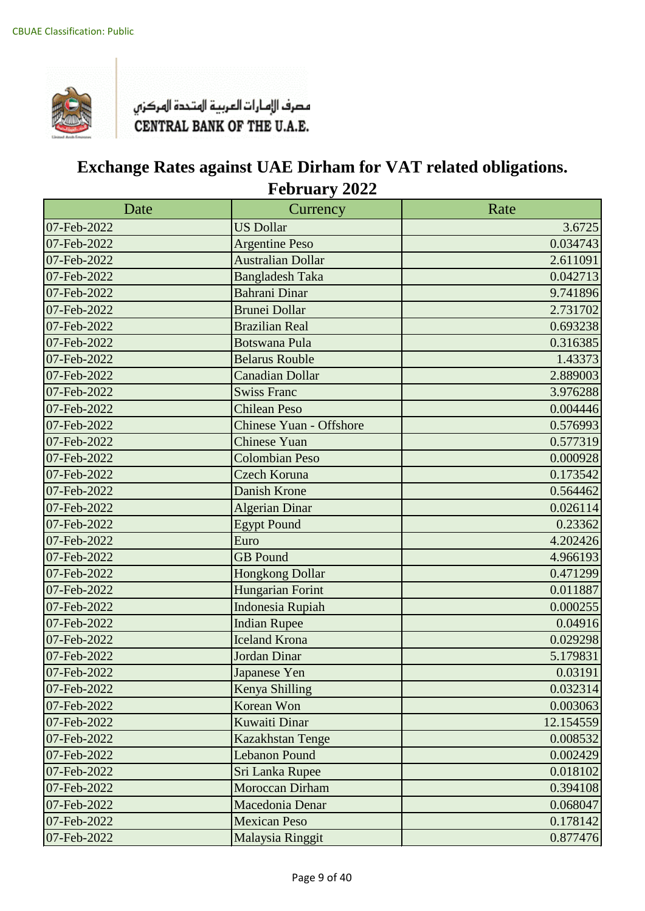

| Date        | Currency                 | Rate      |
|-------------|--------------------------|-----------|
| 07-Feb-2022 | <b>US Dollar</b>         | 3.6725    |
| 07-Feb-2022 | <b>Argentine Peso</b>    | 0.034743  |
| 07-Feb-2022 | <b>Australian Dollar</b> | 2.611091  |
| 07-Feb-2022 | <b>Bangladesh Taka</b>   | 0.042713  |
| 07-Feb-2022 | <b>Bahrani Dinar</b>     | 9.741896  |
| 07-Feb-2022 | <b>Brunei Dollar</b>     | 2.731702  |
| 07-Feb-2022 | <b>Brazilian Real</b>    | 0.693238  |
| 07-Feb-2022 | <b>Botswana Pula</b>     | 0.316385  |
| 07-Feb-2022 | <b>Belarus Rouble</b>    | 1.43373   |
| 07-Feb-2022 | <b>Canadian Dollar</b>   | 2.889003  |
| 07-Feb-2022 | <b>Swiss Franc</b>       | 3.976288  |
| 07-Feb-2022 | <b>Chilean Peso</b>      | 0.004446  |
| 07-Feb-2022 | Chinese Yuan - Offshore  | 0.576993  |
| 07-Feb-2022 | <b>Chinese Yuan</b>      | 0.577319  |
| 07-Feb-2022 | <b>Colombian Peso</b>    | 0.000928  |
| 07-Feb-2022 | <b>Czech Koruna</b>      | 0.173542  |
| 07-Feb-2022 | Danish Krone             | 0.564462  |
| 07-Feb-2022 | <b>Algerian Dinar</b>    | 0.026114  |
| 07-Feb-2022 | <b>Egypt Pound</b>       | 0.23362   |
| 07-Feb-2022 | Euro                     | 4.202426  |
| 07-Feb-2022 | <b>GB</b> Pound          | 4.966193  |
| 07-Feb-2022 | <b>Hongkong Dollar</b>   | 0.471299  |
| 07-Feb-2022 | <b>Hungarian Forint</b>  | 0.011887  |
| 07-Feb-2022 | <b>Indonesia Rupiah</b>  | 0.000255  |
| 07-Feb-2022 | <b>Indian Rupee</b>      | 0.04916   |
| 07-Feb-2022 | <b>Iceland Krona</b>     | 0.029298  |
| 07-Feb-2022 | Jordan Dinar             | 5.179831  |
| 07-Feb-2022 | Japanese Yen             | 0.03191   |
| 07-Feb-2022 | Kenya Shilling           | 0.032314  |
| 07-Feb-2022 | Korean Won               | 0.003063  |
| 07-Feb-2022 | Kuwaiti Dinar            | 12.154559 |
| 07-Feb-2022 | Kazakhstan Tenge         | 0.008532  |
| 07-Feb-2022 | <b>Lebanon Pound</b>     | 0.002429  |
| 07-Feb-2022 | Sri Lanka Rupee          | 0.018102  |
| 07-Feb-2022 | Moroccan Dirham          | 0.394108  |
| 07-Feb-2022 | Macedonia Denar          | 0.068047  |
| 07-Feb-2022 | <b>Mexican Peso</b>      | 0.178142  |
| 07-Feb-2022 | Malaysia Ringgit         | 0.877476  |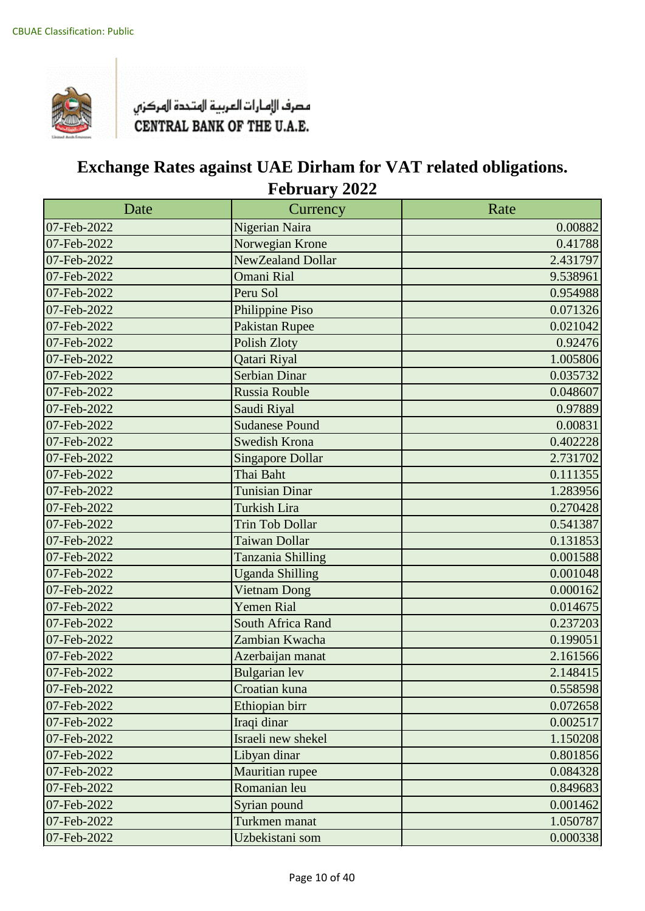

| Date        | Currency                | Rate     |
|-------------|-------------------------|----------|
| 07-Feb-2022 | Nigerian Naira          | 0.00882  |
| 07-Feb-2022 | Norwegian Krone         | 0.41788  |
| 07-Feb-2022 | NewZealand Dollar       | 2.431797 |
| 07-Feb-2022 | <b>Omani Rial</b>       | 9.538961 |
| 07-Feb-2022 | Peru Sol                | 0.954988 |
| 07-Feb-2022 | Philippine Piso         | 0.071326 |
| 07-Feb-2022 | <b>Pakistan Rupee</b>   | 0.021042 |
| 07-Feb-2022 | <b>Polish Zloty</b>     | 0.92476  |
| 07-Feb-2022 | Qatari Riyal            | 1.005806 |
| 07-Feb-2022 | <b>Serbian Dinar</b>    | 0.035732 |
| 07-Feb-2022 | Russia Rouble           | 0.048607 |
| 07-Feb-2022 | Saudi Riyal             | 0.97889  |
| 07-Feb-2022 | <b>Sudanese Pound</b>   | 0.00831  |
| 07-Feb-2022 | <b>Swedish Krona</b>    | 0.402228 |
| 07-Feb-2022 | <b>Singapore Dollar</b> | 2.731702 |
| 07-Feb-2022 | Thai Baht               | 0.111355 |
| 07-Feb-2022 | <b>Tunisian Dinar</b>   | 1.283956 |
| 07-Feb-2022 | <b>Turkish Lira</b>     | 0.270428 |
| 07-Feb-2022 | <b>Trin Tob Dollar</b>  | 0.541387 |
| 07-Feb-2022 | Taiwan Dollar           | 0.131853 |
| 07-Feb-2022 | Tanzania Shilling       | 0.001588 |
| 07-Feb-2022 | <b>Uganda Shilling</b>  | 0.001048 |
| 07-Feb-2022 | <b>Vietnam Dong</b>     | 0.000162 |
| 07-Feb-2022 | <b>Yemen Rial</b>       | 0.014675 |
| 07-Feb-2022 | South Africa Rand       | 0.237203 |
| 07-Feb-2022 | Zambian Kwacha          | 0.199051 |
| 07-Feb-2022 | Azerbaijan manat        | 2.161566 |
| 07-Feb-2022 | <b>Bulgarian</b> lev    | 2.148415 |
| 07-Feb-2022 | Croatian kuna           | 0.558598 |
| 07-Feb-2022 | Ethiopian birr          | 0.072658 |
| 07-Feb-2022 | Iraqi dinar             | 0.002517 |
| 07-Feb-2022 | Israeli new shekel      | 1.150208 |
| 07-Feb-2022 | Libyan dinar            | 0.801856 |
| 07-Feb-2022 | Mauritian rupee         | 0.084328 |
| 07-Feb-2022 | Romanian leu            | 0.849683 |
| 07-Feb-2022 | Syrian pound            | 0.001462 |
| 07-Feb-2022 | Turkmen manat           | 1.050787 |
| 07-Feb-2022 | Uzbekistani som         | 0.000338 |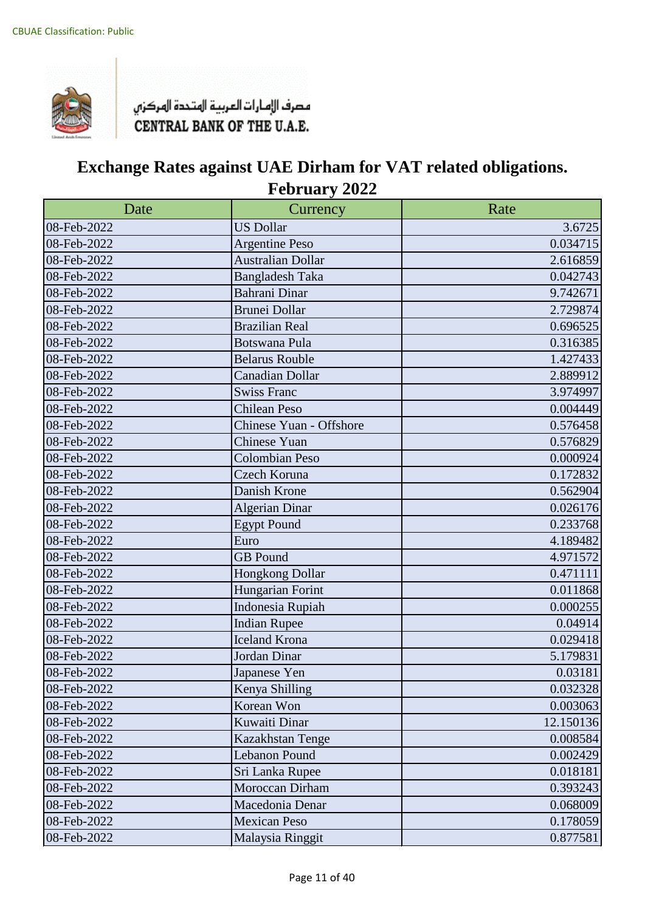

| Date        | Currency                 | Rate      |
|-------------|--------------------------|-----------|
| 08-Feb-2022 | <b>US Dollar</b>         | 3.6725    |
| 08-Feb-2022 | <b>Argentine Peso</b>    | 0.034715  |
| 08-Feb-2022 | <b>Australian Dollar</b> | 2.616859  |
| 08-Feb-2022 | <b>Bangladesh Taka</b>   | 0.042743  |
| 08-Feb-2022 | Bahrani Dinar            | 9.742671  |
| 08-Feb-2022 | <b>Brunei Dollar</b>     | 2.729874  |
| 08-Feb-2022 | <b>Brazilian Real</b>    | 0.696525  |
| 08-Feb-2022 | <b>Botswana Pula</b>     | 0.316385  |
| 08-Feb-2022 | <b>Belarus Rouble</b>    | 1.427433  |
| 08-Feb-2022 | Canadian Dollar          | 2.889912  |
| 08-Feb-2022 | <b>Swiss Franc</b>       | 3.974997  |
| 08-Feb-2022 | <b>Chilean Peso</b>      | 0.004449  |
| 08-Feb-2022 | Chinese Yuan - Offshore  | 0.576458  |
| 08-Feb-2022 | <b>Chinese Yuan</b>      | 0.576829  |
| 08-Feb-2022 | <b>Colombian Peso</b>    | 0.000924  |
| 08-Feb-2022 | Czech Koruna             | 0.172832  |
| 08-Feb-2022 | Danish Krone             | 0.562904  |
| 08-Feb-2022 | <b>Algerian Dinar</b>    | 0.026176  |
| 08-Feb-2022 | <b>Egypt Pound</b>       | 0.233768  |
| 08-Feb-2022 | Euro                     | 4.189482  |
| 08-Feb-2022 | <b>GB</b> Pound          | 4.971572  |
| 08-Feb-2022 | Hongkong Dollar          | 0.471111  |
| 08-Feb-2022 | Hungarian Forint         | 0.011868  |
| 08-Feb-2022 | Indonesia Rupiah         | 0.000255  |
| 08-Feb-2022 | <b>Indian Rupee</b>      | 0.04914   |
| 08-Feb-2022 | <b>Iceland Krona</b>     | 0.029418  |
| 08-Feb-2022 | Jordan Dinar             | 5.179831  |
| 08-Feb-2022 | Japanese Yen             | 0.03181   |
| 08-Feb-2022 | Kenya Shilling           | 0.032328  |
| 08-Feb-2022 | Korean Won               | 0.003063  |
| 08-Feb-2022 | Kuwaiti Dinar            | 12.150136 |
| 08-Feb-2022 | Kazakhstan Tenge         | 0.008584  |
| 08-Feb-2022 | Lebanon Pound            | 0.002429  |
| 08-Feb-2022 | Sri Lanka Rupee          | 0.018181  |
| 08-Feb-2022 | Moroccan Dirham          | 0.393243  |
| 08-Feb-2022 | Macedonia Denar          | 0.068009  |
| 08-Feb-2022 | <b>Mexican Peso</b>      | 0.178059  |
| 08-Feb-2022 | Malaysia Ringgit         | 0.877581  |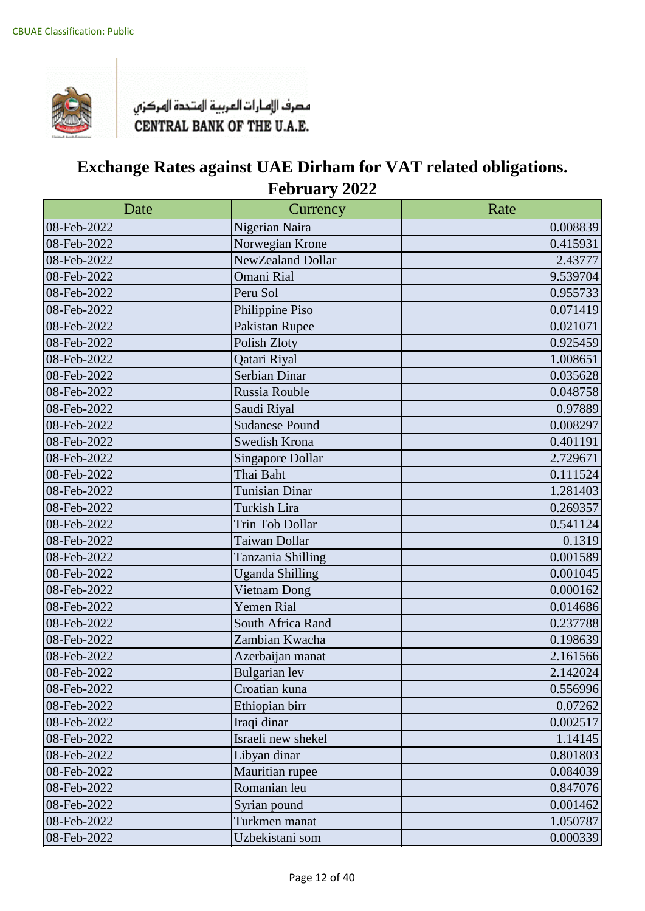

| Date        | Currency                | Rate     |
|-------------|-------------------------|----------|
| 08-Feb-2022 | Nigerian Naira          | 0.008839 |
| 08-Feb-2022 | Norwegian Krone         | 0.415931 |
| 08-Feb-2022 | NewZealand Dollar       | 2.43777  |
| 08-Feb-2022 | Omani Rial              | 9.539704 |
| 08-Feb-2022 | Peru Sol                | 0.955733 |
| 08-Feb-2022 | Philippine Piso         | 0.071419 |
| 08-Feb-2022 | Pakistan Rupee          | 0.021071 |
| 08-Feb-2022 | Polish Zloty            | 0.925459 |
| 08-Feb-2022 | Qatari Riyal            | 1.008651 |
| 08-Feb-2022 | Serbian Dinar           | 0.035628 |
| 08-Feb-2022 | Russia Rouble           | 0.048758 |
| 08-Feb-2022 | Saudi Riyal             | 0.97889  |
| 08-Feb-2022 | <b>Sudanese Pound</b>   | 0.008297 |
| 08-Feb-2022 | Swedish Krona           | 0.401191 |
| 08-Feb-2022 | <b>Singapore Dollar</b> | 2.729671 |
| 08-Feb-2022 | Thai Baht               | 0.111524 |
| 08-Feb-2022 | <b>Tunisian Dinar</b>   | 1.281403 |
| 08-Feb-2022 | Turkish Lira            | 0.269357 |
| 08-Feb-2022 | Trin Tob Dollar         | 0.541124 |
| 08-Feb-2022 | Taiwan Dollar           | 0.1319   |
| 08-Feb-2022 | Tanzania Shilling       | 0.001589 |
| 08-Feb-2022 | <b>Uganda Shilling</b>  | 0.001045 |
| 08-Feb-2022 | Vietnam Dong            | 0.000162 |
| 08-Feb-2022 | <b>Yemen Rial</b>       | 0.014686 |
| 08-Feb-2022 | South Africa Rand       | 0.237788 |
| 08-Feb-2022 | Zambian Kwacha          | 0.198639 |
| 08-Feb-2022 | Azerbaijan manat        | 2.161566 |
| 08-Feb-2022 | <b>Bulgarian</b> lev    | 2.142024 |
| 08-Feb-2022 | Croatian kuna           | 0.556996 |
| 08-Feb-2022 | Ethiopian birr          | 0.07262  |
| 08-Feb-2022 | Iraqi dinar             | 0.002517 |
| 08-Feb-2022 | Israeli new shekel      | 1.14145  |
| 08-Feb-2022 | Libyan dinar            | 0.801803 |
| 08-Feb-2022 | Mauritian rupee         | 0.084039 |
| 08-Feb-2022 | Romanian leu            | 0.847076 |
| 08-Feb-2022 | Syrian pound            | 0.001462 |
| 08-Feb-2022 | Turkmen manat           | 1.050787 |
| 08-Feb-2022 | Uzbekistani som         | 0.000339 |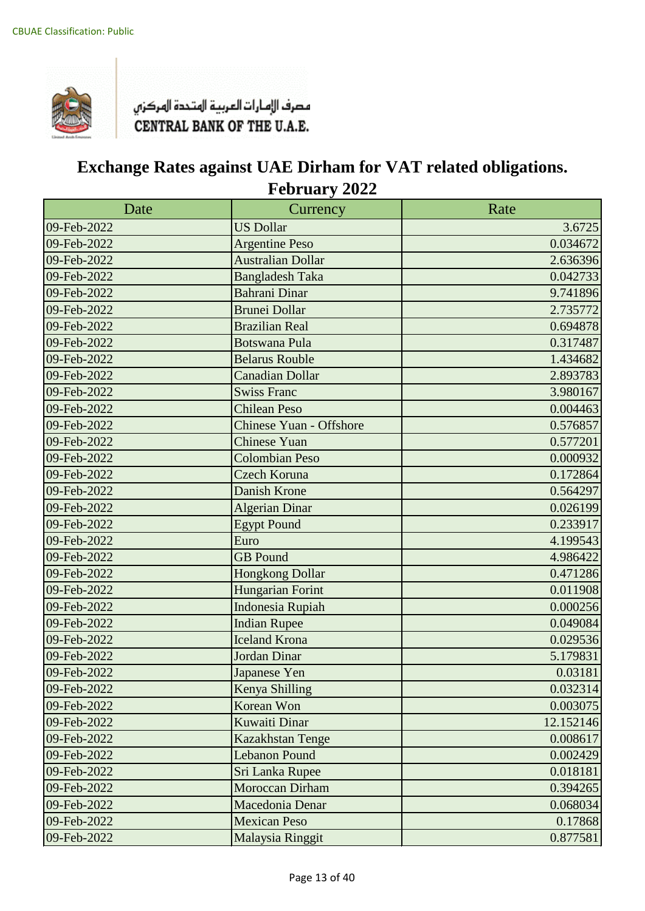

| Date        | Currency                       | Rate      |
|-------------|--------------------------------|-----------|
| 09-Feb-2022 | <b>US Dollar</b>               | 3.6725    |
| 09-Feb-2022 | <b>Argentine Peso</b>          | 0.034672  |
| 09-Feb-2022 | <b>Australian Dollar</b>       | 2.636396  |
| 09-Feb-2022 | <b>Bangladesh Taka</b>         | 0.042733  |
| 09-Feb-2022 | <b>Bahrani Dinar</b>           | 9.741896  |
| 09-Feb-2022 | <b>Brunei Dollar</b>           | 2.735772  |
| 09-Feb-2022 | <b>Brazilian Real</b>          | 0.694878  |
| 09-Feb-2022 | <b>Botswana Pula</b>           | 0.317487  |
| 09-Feb-2022 | <b>Belarus Rouble</b>          | 1.434682  |
| 09-Feb-2022 | Canadian Dollar                | 2.893783  |
| 09-Feb-2022 | <b>Swiss Franc</b>             | 3.980167  |
| 09-Feb-2022 | <b>Chilean Peso</b>            | 0.004463  |
| 09-Feb-2022 | <b>Chinese Yuan - Offshore</b> | 0.576857  |
| 09-Feb-2022 | Chinese Yuan                   | 0.577201  |
| 09-Feb-2022 | <b>Colombian Peso</b>          | 0.000932  |
| 09-Feb-2022 | Czech Koruna                   | 0.172864  |
| 09-Feb-2022 | Danish Krone                   | 0.564297  |
| 09-Feb-2022 | Algerian Dinar                 | 0.026199  |
| 09-Feb-2022 | <b>Egypt Pound</b>             | 0.233917  |
| 09-Feb-2022 | Euro                           | 4.199543  |
| 09-Feb-2022 | <b>GB</b> Pound                | 4.986422  |
| 09-Feb-2022 | Hongkong Dollar                | 0.471286  |
| 09-Feb-2022 | <b>Hungarian Forint</b>        | 0.011908  |
| 09-Feb-2022 | <b>Indonesia Rupiah</b>        | 0.000256  |
| 09-Feb-2022 | <b>Indian Rupee</b>            | 0.049084  |
| 09-Feb-2022 | <b>Iceland Krona</b>           | 0.029536  |
| 09-Feb-2022 | Jordan Dinar                   | 5.179831  |
| 09-Feb-2022 | Japanese Yen                   | 0.03181   |
| 09-Feb-2022 | Kenya Shilling                 | 0.032314  |
| 09-Feb-2022 | Korean Won                     | 0.003075  |
| 09-Feb-2022 | Kuwaiti Dinar                  | 12.152146 |
| 09-Feb-2022 | Kazakhstan Tenge               | 0.008617  |
| 09-Feb-2022 | <b>Lebanon Pound</b>           | 0.002429  |
| 09-Feb-2022 | Sri Lanka Rupee                | 0.018181  |
| 09-Feb-2022 | Moroccan Dirham                | 0.394265  |
| 09-Feb-2022 | Macedonia Denar                | 0.068034  |
| 09-Feb-2022 | <b>Mexican Peso</b>            | 0.17868   |
| 09-Feb-2022 | Malaysia Ringgit               | 0.877581  |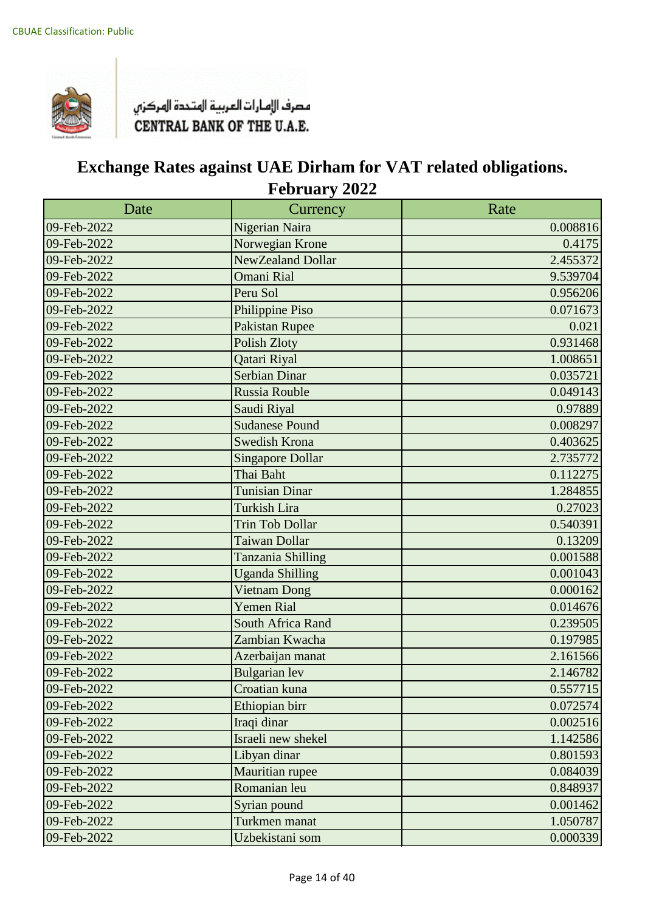

| Date        | Currency                | Rate     |
|-------------|-------------------------|----------|
| 09-Feb-2022 | Nigerian Naira          | 0.008816 |
| 09-Feb-2022 | Norwegian Krone         | 0.4175   |
| 09-Feb-2022 | NewZealand Dollar       | 2.455372 |
| 09-Feb-2022 | <b>Omani Rial</b>       | 9.539704 |
| 09-Feb-2022 | Peru Sol                | 0.956206 |
| 09-Feb-2022 | Philippine Piso         | 0.071673 |
| 09-Feb-2022 | <b>Pakistan Rupee</b>   | 0.021    |
| 09-Feb-2022 | <b>Polish Zloty</b>     | 0.931468 |
| 09-Feb-2022 | Qatari Riyal            | 1.008651 |
| 09-Feb-2022 | <b>Serbian Dinar</b>    | 0.035721 |
| 09-Feb-2022 | Russia Rouble           | 0.049143 |
| 09-Feb-2022 | Saudi Riyal             | 0.97889  |
| 09-Feb-2022 | <b>Sudanese Pound</b>   | 0.008297 |
| 09-Feb-2022 | <b>Swedish Krona</b>    | 0.403625 |
| 09-Feb-2022 | <b>Singapore Dollar</b> | 2.735772 |
| 09-Feb-2022 | Thai Baht               | 0.112275 |
| 09-Feb-2022 | <b>Tunisian Dinar</b>   | 1.284855 |
| 09-Feb-2022 | Turkish Lira            | 0.27023  |
| 09-Feb-2022 | <b>Trin Tob Dollar</b>  | 0.540391 |
| 09-Feb-2022 | Taiwan Dollar           | 0.13209  |
| 09-Feb-2022 | Tanzania Shilling       | 0.001588 |
| 09-Feb-2022 | <b>Uganda Shilling</b>  | 0.001043 |
| 09-Feb-2022 | <b>Vietnam Dong</b>     | 0.000162 |
| 09-Feb-2022 | <b>Yemen Rial</b>       | 0.014676 |
| 09-Feb-2022 | South Africa Rand       | 0.239505 |
| 09-Feb-2022 | Zambian Kwacha          | 0.197985 |
| 09-Feb-2022 | Azerbaijan manat        | 2.161566 |
| 09-Feb-2022 | <b>Bulgarian</b> lev    | 2.146782 |
| 09-Feb-2022 | Croatian kuna           | 0.557715 |
| 09-Feb-2022 | Ethiopian birr          | 0.072574 |
| 09-Feb-2022 | Iraqi dinar             | 0.002516 |
| 09-Feb-2022 | Israeli new shekel      | 1.142586 |
| 09-Feb-2022 | Libyan dinar            | 0.801593 |
| 09-Feb-2022 | Mauritian rupee         | 0.084039 |
| 09-Feb-2022 | Romanian leu            | 0.848937 |
| 09-Feb-2022 | Syrian pound            | 0.001462 |
| 09-Feb-2022 | Turkmen manat           | 1.050787 |
| 09-Feb-2022 | Uzbekistani som         | 0.000339 |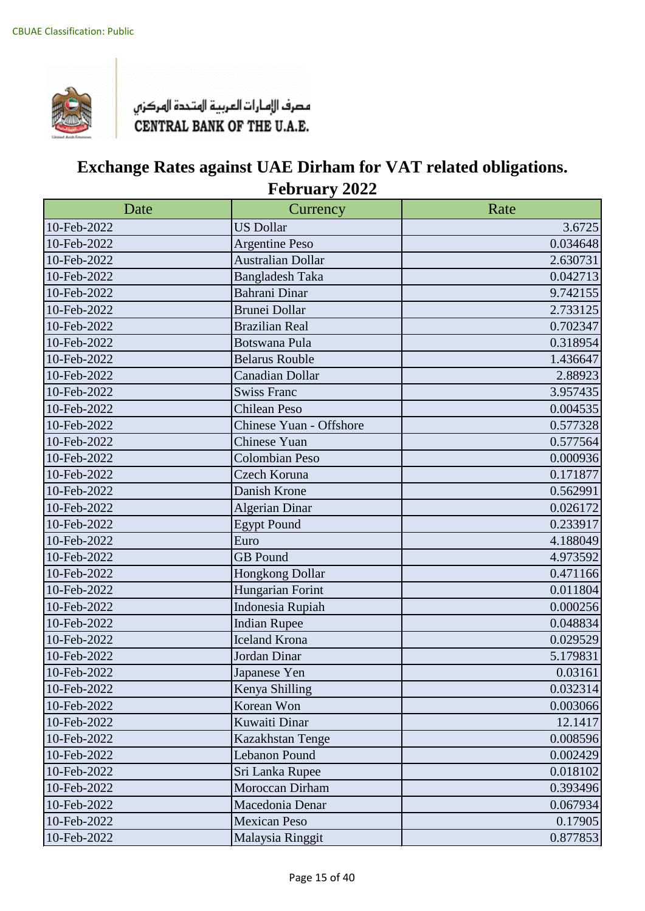

| Date        | Currency                 | Rate     |
|-------------|--------------------------|----------|
| 10-Feb-2022 | <b>US Dollar</b>         | 3.6725   |
| 10-Feb-2022 | <b>Argentine Peso</b>    | 0.034648 |
| 10-Feb-2022 | <b>Australian Dollar</b> | 2.630731 |
| 10-Feb-2022 | <b>Bangladesh Taka</b>   | 0.042713 |
| 10-Feb-2022 | Bahrani Dinar            | 9.742155 |
| 10-Feb-2022 | <b>Brunei Dollar</b>     | 2.733125 |
| 10-Feb-2022 | <b>Brazilian Real</b>    | 0.702347 |
| 10-Feb-2022 | <b>Botswana Pula</b>     | 0.318954 |
| 10-Feb-2022 | <b>Belarus Rouble</b>    | 1.436647 |
| 10-Feb-2022 | Canadian Dollar          | 2.88923  |
| 10-Feb-2022 | <b>Swiss Franc</b>       | 3.957435 |
| 10-Feb-2022 | <b>Chilean Peso</b>      | 0.004535 |
| 10-Feb-2022 | Chinese Yuan - Offshore  | 0.577328 |
| 10-Feb-2022 | Chinese Yuan             | 0.577564 |
| 10-Feb-2022 | <b>Colombian Peso</b>    | 0.000936 |
| 10-Feb-2022 | Czech Koruna             | 0.171877 |
| 10-Feb-2022 | Danish Krone             | 0.562991 |
| 10-Feb-2022 | <b>Algerian Dinar</b>    | 0.026172 |
| 10-Feb-2022 | <b>Egypt Pound</b>       | 0.233917 |
| 10-Feb-2022 | Euro                     | 4.188049 |
| 10-Feb-2022 | <b>GB</b> Pound          | 4.973592 |
| 10-Feb-2022 | Hongkong Dollar          | 0.471166 |
| 10-Feb-2022 | Hungarian Forint         | 0.011804 |
| 10-Feb-2022 | Indonesia Rupiah         | 0.000256 |
| 10-Feb-2022 | <b>Indian Rupee</b>      | 0.048834 |
| 10-Feb-2022 | <b>Iceland Krona</b>     | 0.029529 |
| 10-Feb-2022 | Jordan Dinar             | 5.179831 |
| 10-Feb-2022 | Japanese Yen             | 0.03161  |
| 10-Feb-2022 | Kenya Shilling           | 0.032314 |
| 10-Feb-2022 | Korean Won               | 0.003066 |
| 10-Feb-2022 | Kuwaiti Dinar            | 12.1417  |
| 10-Feb-2022 | Kazakhstan Tenge         | 0.008596 |
| 10-Feb-2022 | <b>Lebanon Pound</b>     | 0.002429 |
| 10-Feb-2022 | Sri Lanka Rupee          | 0.018102 |
| 10-Feb-2022 | Moroccan Dirham          | 0.393496 |
| 10-Feb-2022 | Macedonia Denar          | 0.067934 |
| 10-Feb-2022 | <b>Mexican Peso</b>      | 0.17905  |
| 10-Feb-2022 | Malaysia Ringgit         | 0.877853 |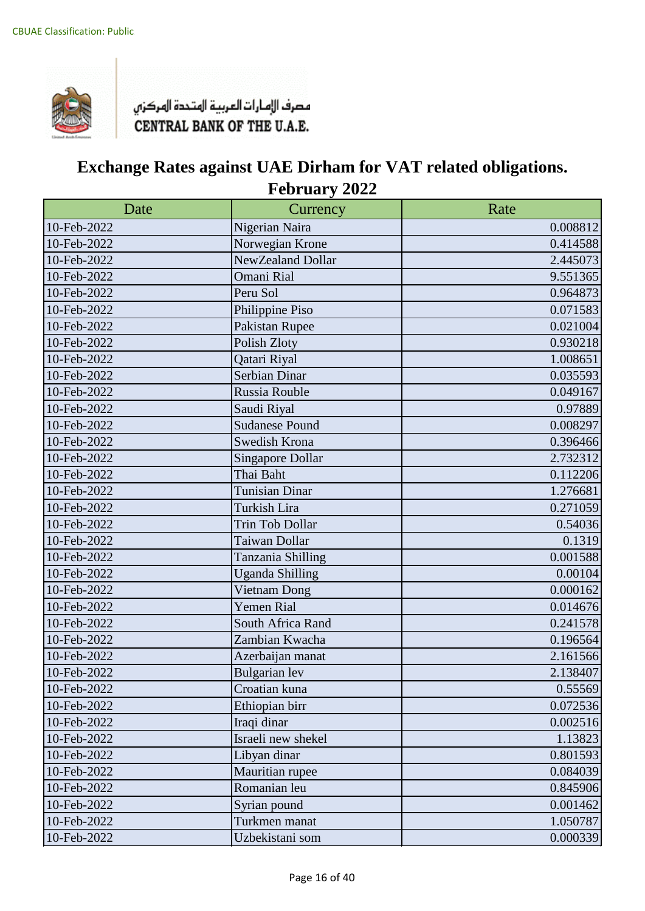

| Date        | Currency                | Rate     |
|-------------|-------------------------|----------|
| 10-Feb-2022 | Nigerian Naira          | 0.008812 |
| 10-Feb-2022 | Norwegian Krone         | 0.414588 |
| 10-Feb-2022 | NewZealand Dollar       | 2.445073 |
| 10-Feb-2022 | <b>Omani Rial</b>       | 9.551365 |
| 10-Feb-2022 | Peru Sol                | 0.964873 |
| 10-Feb-2022 | Philippine Piso         | 0.071583 |
| 10-Feb-2022 | Pakistan Rupee          | 0.021004 |
| 10-Feb-2022 | Polish Zloty            | 0.930218 |
| 10-Feb-2022 | Qatari Riyal            | 1.008651 |
| 10-Feb-2022 | Serbian Dinar           | 0.035593 |
| 10-Feb-2022 | Russia Rouble           | 0.049167 |
| 10-Feb-2022 | Saudi Riyal             | 0.97889  |
| 10-Feb-2022 | <b>Sudanese Pound</b>   | 0.008297 |
| 10-Feb-2022 | Swedish Krona           | 0.396466 |
| 10-Feb-2022 | <b>Singapore Dollar</b> | 2.732312 |
| 10-Feb-2022 | Thai Baht               | 0.112206 |
| 10-Feb-2022 | <b>Tunisian Dinar</b>   | 1.276681 |
| 10-Feb-2022 | Turkish Lira            | 0.271059 |
| 10-Feb-2022 | <b>Trin Tob Dollar</b>  | 0.54036  |
| 10-Feb-2022 | Taiwan Dollar           | 0.1319   |
| 10-Feb-2022 | Tanzania Shilling       | 0.001588 |
| 10-Feb-2022 | <b>Uganda Shilling</b>  | 0.00104  |
| 10-Feb-2022 | Vietnam Dong            | 0.000162 |
| 10-Feb-2022 | Yemen Rial              | 0.014676 |
| 10-Feb-2022 | South Africa Rand       | 0.241578 |
| 10-Feb-2022 | Zambian Kwacha          | 0.196564 |
| 10-Feb-2022 | Azerbaijan manat        | 2.161566 |
| 10-Feb-2022 | <b>Bulgarian</b> lev    | 2.138407 |
| 10-Feb-2022 | Croatian kuna           | 0.55569  |
| 10-Feb-2022 | Ethiopian birr          | 0.072536 |
| 10-Feb-2022 | Iraqi dinar             | 0.002516 |
| 10-Feb-2022 | Israeli new shekel      | 1.13823  |
| 10-Feb-2022 | Libyan dinar            | 0.801593 |
| 10-Feb-2022 | Mauritian rupee         | 0.084039 |
| 10-Feb-2022 | Romanian leu            | 0.845906 |
| 10-Feb-2022 | Syrian pound            | 0.001462 |
| 10-Feb-2022 | Turkmen manat           | 1.050787 |
| 10-Feb-2022 | Uzbekistani som         | 0.000339 |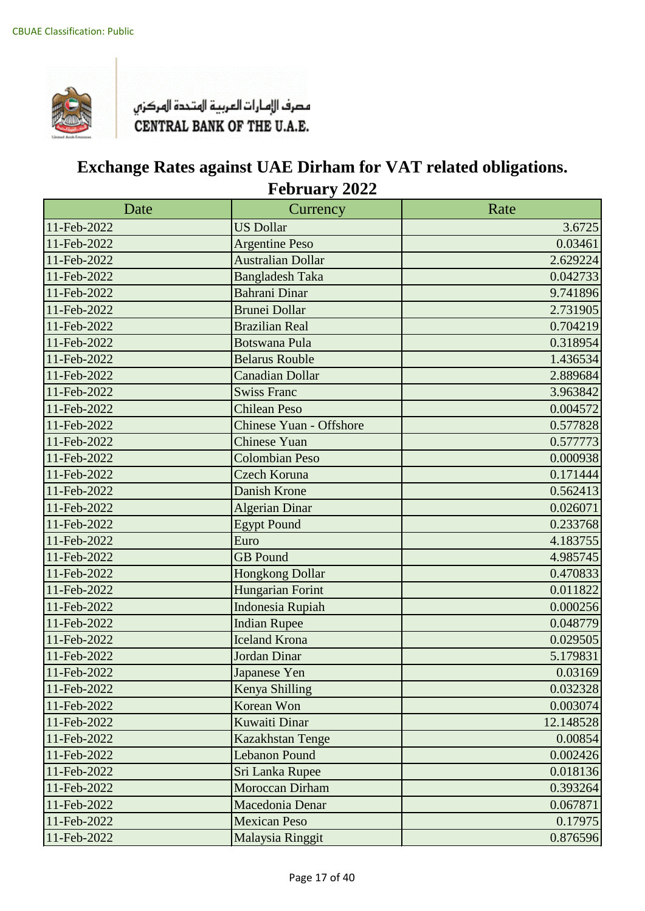

| Date        | Currency                       | Rate      |
|-------------|--------------------------------|-----------|
| 11-Feb-2022 | <b>US Dollar</b>               | 3.6725    |
| 11-Feb-2022 | <b>Argentine Peso</b>          | 0.03461   |
| 11-Feb-2022 | <b>Australian Dollar</b>       | 2.629224  |
| 11-Feb-2022 | <b>Bangladesh Taka</b>         | 0.042733  |
| 11-Feb-2022 | <b>Bahrani Dinar</b>           | 9.741896  |
| 11-Feb-2022 | <b>Brunei Dollar</b>           | 2.731905  |
| 11-Feb-2022 | <b>Brazilian Real</b>          | 0.704219  |
| 11-Feb-2022 | <b>Botswana Pula</b>           | 0.318954  |
| 11-Feb-2022 | <b>Belarus Rouble</b>          | 1.436534  |
| 11-Feb-2022 | <b>Canadian Dollar</b>         | 2.889684  |
| 11-Feb-2022 | <b>Swiss Franc</b>             | 3.963842  |
| 11-Feb-2022 | <b>Chilean Peso</b>            | 0.004572  |
| 11-Feb-2022 | <b>Chinese Yuan - Offshore</b> | 0.577828  |
| 11-Feb-2022 | <b>Chinese Yuan</b>            | 0.577773  |
| 11-Feb-2022 | <b>Colombian Peso</b>          | 0.000938  |
| 11-Feb-2022 | <b>Czech Koruna</b>            | 0.171444  |
| 11-Feb-2022 | <b>Danish Krone</b>            | 0.562413  |
| 11-Feb-2022 | <b>Algerian Dinar</b>          | 0.026071  |
| 11-Feb-2022 | <b>Egypt Pound</b>             | 0.233768  |
| 11-Feb-2022 | Euro                           | 4.183755  |
| 11-Feb-2022 | <b>GB</b> Pound                | 4.985745  |
| 11-Feb-2022 | <b>Hongkong Dollar</b>         | 0.470833  |
| 11-Feb-2022 | <b>Hungarian Forint</b>        | 0.011822  |
| 11-Feb-2022 | <b>Indonesia Rupiah</b>        | 0.000256  |
| 11-Feb-2022 | <b>Indian Rupee</b>            | 0.048779  |
| 11-Feb-2022 | <b>Iceland Krona</b>           | 0.029505  |
| 11-Feb-2022 | Jordan Dinar                   | 5.179831  |
| 11-Feb-2022 | Japanese Yen                   | 0.03169   |
| 11-Feb-2022 | Kenya Shilling                 | 0.032328  |
| 11-Feb-2022 | Korean Won                     | 0.003074  |
| 11-Feb-2022 | Kuwaiti Dinar                  | 12.148528 |
| 11-Feb-2022 | Kazakhstan Tenge               | 0.00854   |
| 11-Feb-2022 | <b>Lebanon Pound</b>           | 0.002426  |
| 11-Feb-2022 | Sri Lanka Rupee                | 0.018136  |
| 11-Feb-2022 | Moroccan Dirham                | 0.393264  |
| 11-Feb-2022 | Macedonia Denar                | 0.067871  |
| 11-Feb-2022 | <b>Mexican Peso</b>            | 0.17975   |
| 11-Feb-2022 | Malaysia Ringgit               | 0.876596  |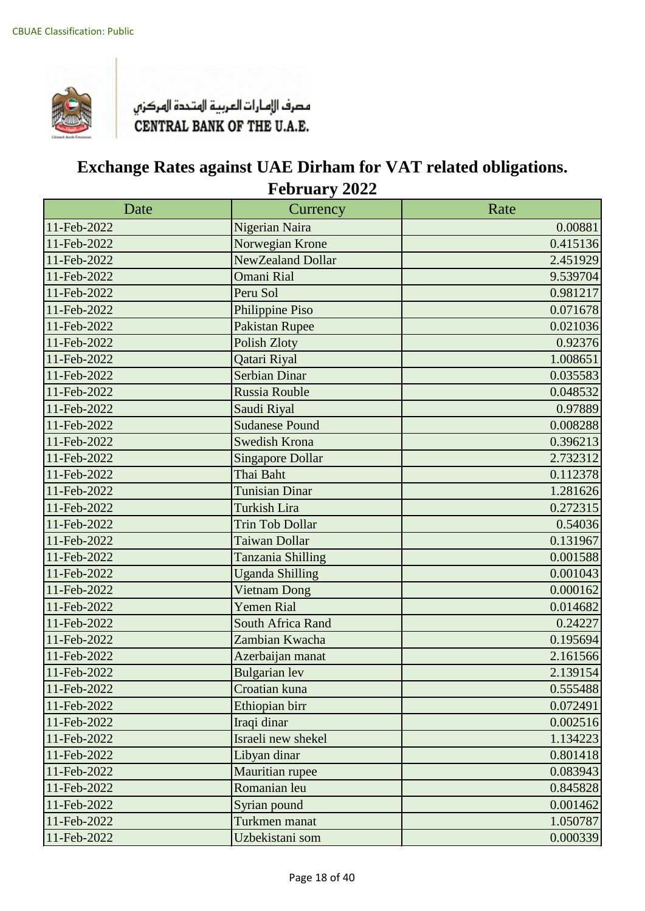

| Date        | Currency                | Rate     |
|-------------|-------------------------|----------|
| 11-Feb-2022 | Nigerian Naira          | 0.00881  |
| 11-Feb-2022 | Norwegian Krone         | 0.415136 |
| 11-Feb-2022 | NewZealand Dollar       | 2.451929 |
| 11-Feb-2022 | <b>Omani Rial</b>       | 9.539704 |
| 11-Feb-2022 | Peru Sol                | 0.981217 |
| 11-Feb-2022 | Philippine Piso         | 0.071678 |
| 11-Feb-2022 | <b>Pakistan Rupee</b>   | 0.021036 |
| 11-Feb-2022 | <b>Polish Zloty</b>     | 0.92376  |
| 11-Feb-2022 | Qatari Riyal            | 1.008651 |
| 11-Feb-2022 | <b>Serbian Dinar</b>    | 0.035583 |
| 11-Feb-2022 | Russia Rouble           | 0.048532 |
| 11-Feb-2022 | Saudi Riyal             | 0.97889  |
| 11-Feb-2022 | <b>Sudanese Pound</b>   | 0.008288 |
| 11-Feb-2022 | <b>Swedish Krona</b>    | 0.396213 |
| 11-Feb-2022 | <b>Singapore Dollar</b> | 2.732312 |
| 11-Feb-2022 | Thai Baht               | 0.112378 |
| 11-Feb-2022 | <b>Tunisian Dinar</b>   | 1.281626 |
| 11-Feb-2022 | <b>Turkish Lira</b>     | 0.272315 |
| 11-Feb-2022 | <b>Trin Tob Dollar</b>  | 0.54036  |
| 11-Feb-2022 | Taiwan Dollar           | 0.131967 |
| 11-Feb-2022 | Tanzania Shilling       | 0.001588 |
| 11-Feb-2022 | <b>Uganda Shilling</b>  | 0.001043 |
| 11-Feb-2022 | Vietnam Dong            | 0.000162 |
| 11-Feb-2022 | <b>Yemen Rial</b>       | 0.014682 |
| 11-Feb-2022 | South Africa Rand       | 0.24227  |
| 11-Feb-2022 | Zambian Kwacha          | 0.195694 |
| 11-Feb-2022 | Azerbaijan manat        | 2.161566 |
| 11-Feb-2022 | <b>Bulgarian</b> lev    | 2.139154 |
| 11-Feb-2022 | Croatian kuna           | 0.555488 |
| 11-Feb-2022 | Ethiopian birr          | 0.072491 |
| 11-Feb-2022 | Iraqi dinar             | 0.002516 |
| 11-Feb-2022 | Israeli new shekel      | 1.134223 |
| 11-Feb-2022 | Libyan dinar            | 0.801418 |
| 11-Feb-2022 | Mauritian rupee         | 0.083943 |
| 11-Feb-2022 | Romanian leu            | 0.845828 |
| 11-Feb-2022 | Syrian pound            | 0.001462 |
| 11-Feb-2022 | Turkmen manat           | 1.050787 |
| 11-Feb-2022 | Uzbekistani som         | 0.000339 |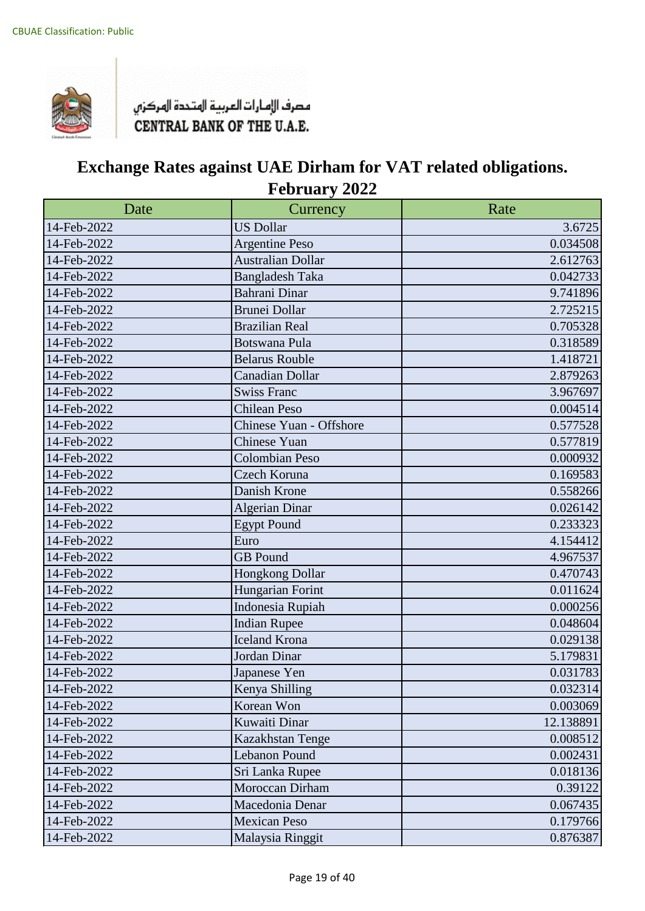

| Date        | Currency                 | Rate      |
|-------------|--------------------------|-----------|
| 14-Feb-2022 | <b>US Dollar</b>         | 3.6725    |
| 14-Feb-2022 | <b>Argentine Peso</b>    | 0.034508  |
| 14-Feb-2022 | <b>Australian Dollar</b> | 2.612763  |
| 14-Feb-2022 | <b>Bangladesh Taka</b>   | 0.042733  |
| 14-Feb-2022 | Bahrani Dinar            | 9.741896  |
| 14-Feb-2022 | <b>Brunei Dollar</b>     | 2.725215  |
| 14-Feb-2022 | <b>Brazilian Real</b>    | 0.705328  |
| 14-Feb-2022 | <b>Botswana Pula</b>     | 0.318589  |
| 14-Feb-2022 | <b>Belarus Rouble</b>    | 1.418721  |
| 14-Feb-2022 | Canadian Dollar          | 2.879263  |
| 14-Feb-2022 | <b>Swiss Franc</b>       | 3.967697  |
| 14-Feb-2022 | <b>Chilean Peso</b>      | 0.004514  |
| 14-Feb-2022 | Chinese Yuan - Offshore  | 0.577528  |
| 14-Feb-2022 | <b>Chinese Yuan</b>      | 0.577819  |
| 14-Feb-2022 | <b>Colombian Peso</b>    | 0.000932  |
| 14-Feb-2022 | Czech Koruna             | 0.169583  |
| 14-Feb-2022 | Danish Krone             | 0.558266  |
| 14-Feb-2022 | <b>Algerian Dinar</b>    | 0.026142  |
| 14-Feb-2022 | <b>Egypt Pound</b>       | 0.233323  |
| 14-Feb-2022 | Euro                     | 4.154412  |
| 14-Feb-2022 | <b>GB</b> Pound          | 4.967537  |
| 14-Feb-2022 | Hongkong Dollar          | 0.470743  |
| 14-Feb-2022 | Hungarian Forint         | 0.011624  |
| 14-Feb-2022 | Indonesia Rupiah         | 0.000256  |
| 14-Feb-2022 | <b>Indian Rupee</b>      | 0.048604  |
| 14-Feb-2022 | <b>Iceland Krona</b>     | 0.029138  |
| 14-Feb-2022 | Jordan Dinar             | 5.179831  |
| 14-Feb-2022 | Japanese Yen             | 0.031783  |
| 14-Feb-2022 | Kenya Shilling           | 0.032314  |
| 14-Feb-2022 | Korean Won               | 0.003069  |
| 14-Feb-2022 | Kuwaiti Dinar            | 12.138891 |
| 14-Feb-2022 | Kazakhstan Tenge         | 0.008512  |
| 14-Feb-2022 | Lebanon Pound            | 0.002431  |
| 14-Feb-2022 | Sri Lanka Rupee          | 0.018136  |
| 14-Feb-2022 | Moroccan Dirham          | 0.39122   |
| 14-Feb-2022 | Macedonia Denar          | 0.067435  |
| 14-Feb-2022 | <b>Mexican Peso</b>      | 0.179766  |
| 14-Feb-2022 | Malaysia Ringgit         | 0.876387  |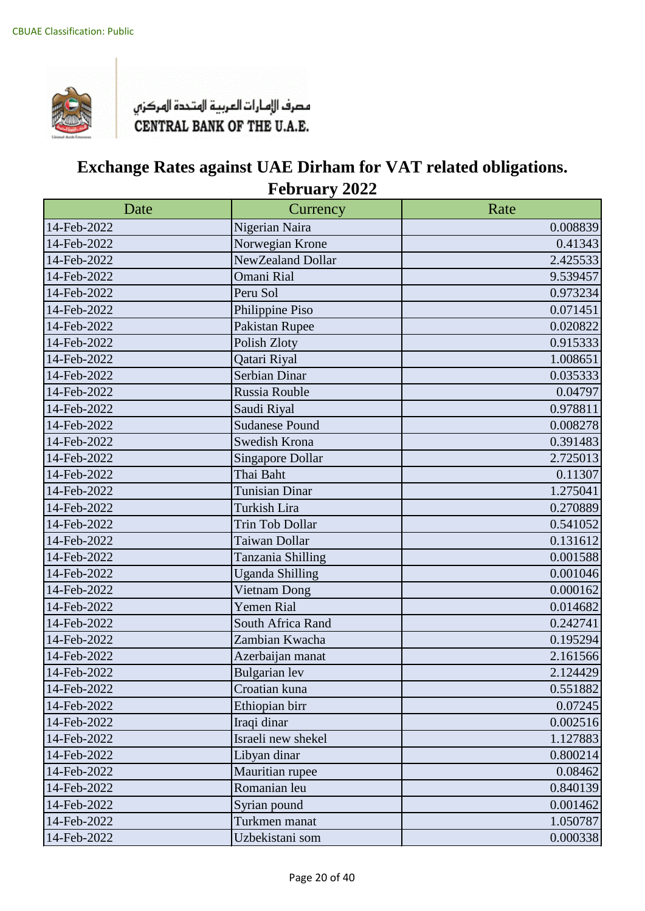

| Date        | Currency                | Rate     |
|-------------|-------------------------|----------|
| 14-Feb-2022 | Nigerian Naira          | 0.008839 |
| 14-Feb-2022 | Norwegian Krone         | 0.41343  |
| 14-Feb-2022 | NewZealand Dollar       | 2.425533 |
| 14-Feb-2022 | Omani Rial              | 9.539457 |
| 14-Feb-2022 | Peru Sol                | 0.973234 |
| 14-Feb-2022 | Philippine Piso         | 0.071451 |
| 14-Feb-2022 | Pakistan Rupee          | 0.020822 |
| 14-Feb-2022 | Polish Zloty            | 0.915333 |
| 14-Feb-2022 | Qatari Riyal            | 1.008651 |
| 14-Feb-2022 | Serbian Dinar           | 0.035333 |
| 14-Feb-2022 | Russia Rouble           | 0.04797  |
| 14-Feb-2022 | Saudi Riyal             | 0.978811 |
| 14-Feb-2022 | <b>Sudanese Pound</b>   | 0.008278 |
| 14-Feb-2022 | Swedish Krona           | 0.391483 |
| 14-Feb-2022 | <b>Singapore Dollar</b> | 2.725013 |
| 14-Feb-2022 | Thai Baht               | 0.11307  |
| 14-Feb-2022 | <b>Tunisian Dinar</b>   | 1.275041 |
| 14-Feb-2022 | Turkish Lira            | 0.270889 |
| 14-Feb-2022 | <b>Trin Tob Dollar</b>  | 0.541052 |
| 14-Feb-2022 | Taiwan Dollar           | 0.131612 |
| 14-Feb-2022 | Tanzania Shilling       | 0.001588 |
| 14-Feb-2022 | <b>Uganda Shilling</b>  | 0.001046 |
| 14-Feb-2022 | Vietnam Dong            | 0.000162 |
| 14-Feb-2022 | Yemen Rial              | 0.014682 |
| 14-Feb-2022 | South Africa Rand       | 0.242741 |
| 14-Feb-2022 | Zambian Kwacha          | 0.195294 |
| 14-Feb-2022 | Azerbaijan manat        | 2.161566 |
| 14-Feb-2022 | <b>Bulgarian</b> lev    | 2.124429 |
| 14-Feb-2022 | Croatian kuna           | 0.551882 |
| 14-Feb-2022 | Ethiopian birr          | 0.07245  |
| 14-Feb-2022 | Iraqi dinar             | 0.002516 |
| 14-Feb-2022 | Israeli new shekel      | 1.127883 |
| 14-Feb-2022 | Libyan dinar            | 0.800214 |
| 14-Feb-2022 | Mauritian rupee         | 0.08462  |
| 14-Feb-2022 | Romanian leu            | 0.840139 |
| 14-Feb-2022 | Syrian pound            | 0.001462 |
| 14-Feb-2022 | Turkmen manat           | 1.050787 |
| 14-Feb-2022 | Uzbekistani som         | 0.000338 |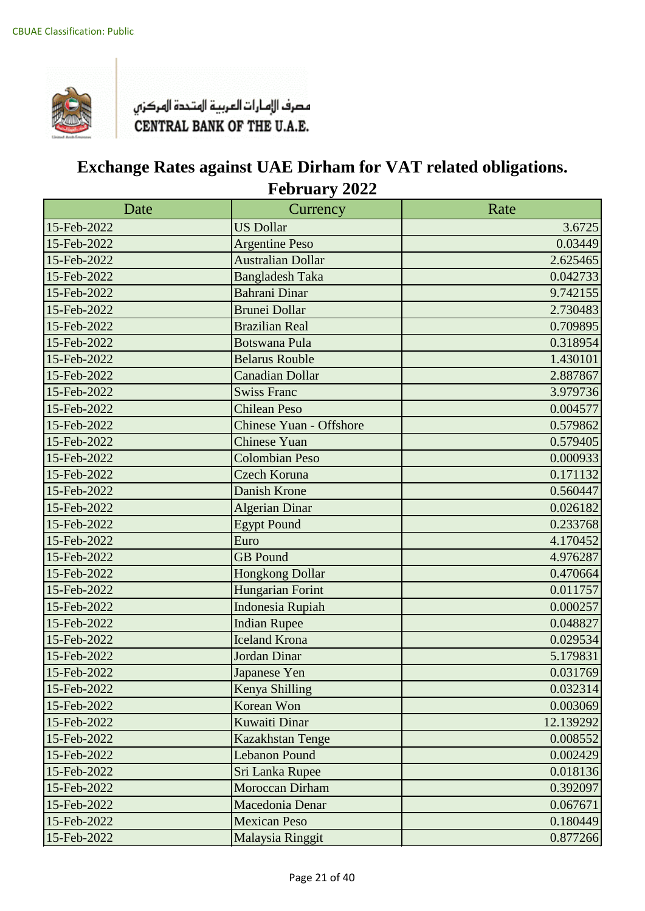

| Date        | Currency                       | Rate      |
|-------------|--------------------------------|-----------|
| 15-Feb-2022 | <b>US Dollar</b>               | 3.6725    |
| 15-Feb-2022 | <b>Argentine Peso</b>          | 0.03449   |
| 15-Feb-2022 | <b>Australian Dollar</b>       | 2.625465  |
| 15-Feb-2022 | <b>Bangladesh Taka</b>         | 0.042733  |
| 15-Feb-2022 | <b>Bahrani Dinar</b>           | 9.742155  |
| 15-Feb-2022 | <b>Brunei Dollar</b>           | 2.730483  |
| 15-Feb-2022 | <b>Brazilian Real</b>          | 0.709895  |
| 15-Feb-2022 | <b>Botswana Pula</b>           | 0.318954  |
| 15-Feb-2022 | <b>Belarus Rouble</b>          | 1.430101  |
| 15-Feb-2022 | <b>Canadian Dollar</b>         | 2.887867  |
| 15-Feb-2022 | <b>Swiss Franc</b>             | 3.979736  |
| 15-Feb-2022 | <b>Chilean Peso</b>            | 0.004577  |
| 15-Feb-2022 | <b>Chinese Yuan - Offshore</b> | 0.579862  |
| 15-Feb-2022 | <b>Chinese Yuan</b>            | 0.579405  |
| 15-Feb-2022 | <b>Colombian Peso</b>          | 0.000933  |
| 15-Feb-2022 | <b>Czech Koruna</b>            | 0.171132  |
| 15-Feb-2022 | <b>Danish Krone</b>            | 0.560447  |
| 15-Feb-2022 | <b>Algerian Dinar</b>          | 0.026182  |
| 15-Feb-2022 | <b>Egypt Pound</b>             | 0.233768  |
| 15-Feb-2022 | Euro                           | 4.170452  |
| 15-Feb-2022 | <b>GB</b> Pound                | 4.976287  |
| 15-Feb-2022 | <b>Hongkong Dollar</b>         | 0.470664  |
| 15-Feb-2022 | <b>Hungarian Forint</b>        | 0.011757  |
| 15-Feb-2022 | <b>Indonesia Rupiah</b>        | 0.000257  |
| 15-Feb-2022 | <b>Indian Rupee</b>            | 0.048827  |
| 15-Feb-2022 | <b>Iceland Krona</b>           | 0.029534  |
| 15-Feb-2022 | Jordan Dinar                   | 5.179831  |
| 15-Feb-2022 | Japanese Yen                   | 0.031769  |
| 15-Feb-2022 | Kenya Shilling                 | 0.032314  |
| 15-Feb-2022 | Korean Won                     | 0.003069  |
| 15-Feb-2022 | Kuwaiti Dinar                  | 12.139292 |
| 15-Feb-2022 | Kazakhstan Tenge               | 0.008552  |
| 15-Feb-2022 | <b>Lebanon Pound</b>           | 0.002429  |
| 15-Feb-2022 | Sri Lanka Rupee                | 0.018136  |
| 15-Feb-2022 | Moroccan Dirham                | 0.392097  |
| 15-Feb-2022 | Macedonia Denar                | 0.067671  |
| 15-Feb-2022 | <b>Mexican Peso</b>            | 0.180449  |
| 15-Feb-2022 | Malaysia Ringgit               | 0.877266  |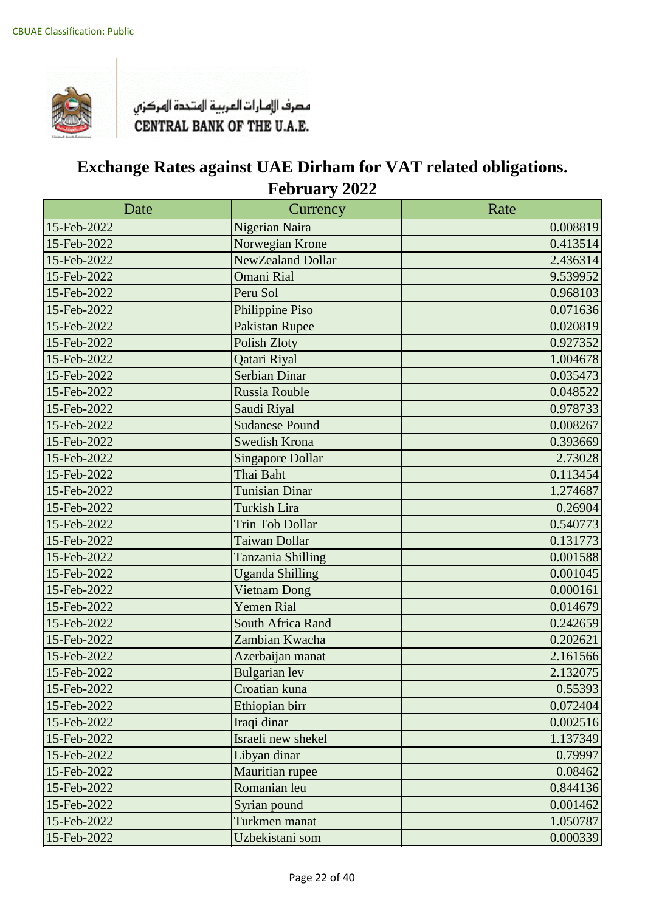

| Date        | Currency                 | Rate     |
|-------------|--------------------------|----------|
| 15-Feb-2022 | Nigerian Naira           | 0.008819 |
| 15-Feb-2022 | Norwegian Krone          | 0.413514 |
| 15-Feb-2022 | NewZealand Dollar        | 2.436314 |
| 15-Feb-2022 | <b>Omani Rial</b>        | 9.539952 |
| 15-Feb-2022 | Peru Sol                 | 0.968103 |
| 15-Feb-2022 | Philippine Piso          | 0.071636 |
| 15-Feb-2022 | <b>Pakistan Rupee</b>    | 0.020819 |
| 15-Feb-2022 | <b>Polish Zloty</b>      | 0.927352 |
| 15-Feb-2022 | Qatari Riyal             | 1.004678 |
| 15-Feb-2022 | <b>Serbian Dinar</b>     | 0.035473 |
| 15-Feb-2022 | Russia Rouble            | 0.048522 |
| 15-Feb-2022 | Saudi Riyal              | 0.978733 |
| 15-Feb-2022 | <b>Sudanese Pound</b>    | 0.008267 |
| 15-Feb-2022 | <b>Swedish Krona</b>     | 0.393669 |
| 15-Feb-2022 | <b>Singapore Dollar</b>  | 2.73028  |
| 15-Feb-2022 | Thai Baht                | 0.113454 |
| 15-Feb-2022 | <b>Tunisian Dinar</b>    | 1.274687 |
| 15-Feb-2022 | <b>Turkish Lira</b>      | 0.26904  |
| 15-Feb-2022 | <b>Trin Tob Dollar</b>   | 0.540773 |
| 15-Feb-2022 | Taiwan Dollar            | 0.131773 |
| 15-Feb-2022 | Tanzania Shilling        | 0.001588 |
| 15-Feb-2022 | <b>Uganda Shilling</b>   | 0.001045 |
| 15-Feb-2022 | <b>Vietnam Dong</b>      | 0.000161 |
| 15-Feb-2022 | <b>Yemen Rial</b>        | 0.014679 |
| 15-Feb-2022 | <b>South Africa Rand</b> | 0.242659 |
| 15-Feb-2022 | Zambian Kwacha           | 0.202621 |
| 15-Feb-2022 | Azerbaijan manat         | 2.161566 |
| 15-Feb-2022 | <b>Bulgarian</b> lev     | 2.132075 |
| 15-Feb-2022 | Croatian kuna            | 0.55393  |
| 15-Feb-2022 | Ethiopian birr           | 0.072404 |
| 15-Feb-2022 | Iraqi dinar              | 0.002516 |
| 15-Feb-2022 | Israeli new shekel       | 1.137349 |
| 15-Feb-2022 | Libyan dinar             | 0.79997  |
| 15-Feb-2022 | Mauritian rupee          | 0.08462  |
| 15-Feb-2022 | Romanian leu             | 0.844136 |
| 15-Feb-2022 | Syrian pound             | 0.001462 |
| 15-Feb-2022 | Turkmen manat            | 1.050787 |
| 15-Feb-2022 | Uzbekistani som          | 0.000339 |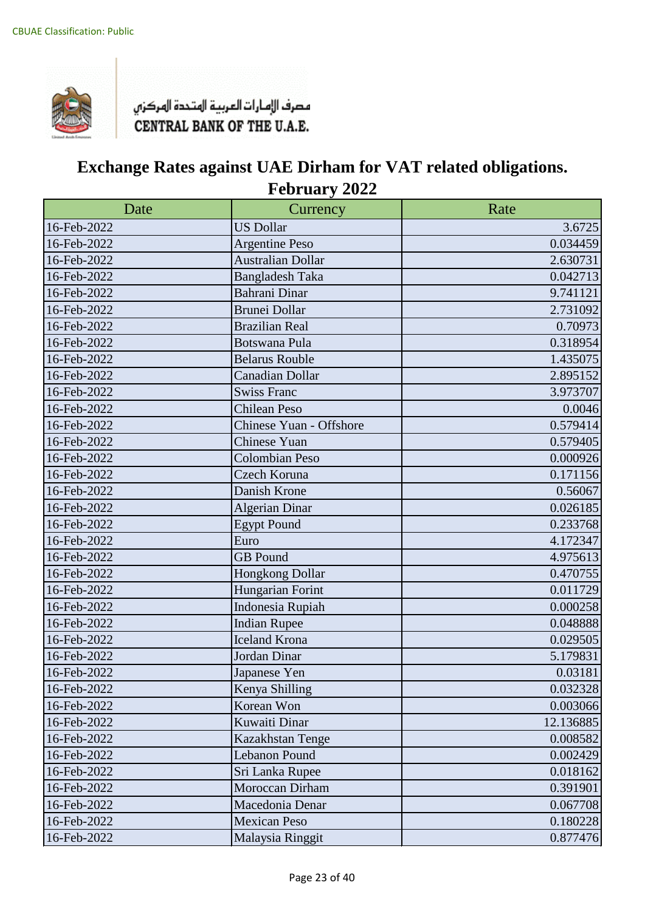

| Date        | Currency                 | Rate      |
|-------------|--------------------------|-----------|
| 16-Feb-2022 | <b>US Dollar</b>         | 3.6725    |
| 16-Feb-2022 | <b>Argentine Peso</b>    | 0.034459  |
| 16-Feb-2022 | <b>Australian Dollar</b> | 2.630731  |
| 16-Feb-2022 | <b>Bangladesh Taka</b>   | 0.042713  |
| 16-Feb-2022 | Bahrani Dinar            | 9.741121  |
| 16-Feb-2022 | <b>Brunei Dollar</b>     | 2.731092  |
| 16-Feb-2022 | <b>Brazilian Real</b>    | 0.70973   |
| 16-Feb-2022 | <b>Botswana Pula</b>     | 0.318954  |
| 16-Feb-2022 | <b>Belarus Rouble</b>    | 1.435075  |
| 16-Feb-2022 | Canadian Dollar          | 2.895152  |
| 16-Feb-2022 | <b>Swiss Franc</b>       | 3.973707  |
| 16-Feb-2022 | <b>Chilean Peso</b>      | 0.0046    |
| 16-Feb-2022 | Chinese Yuan - Offshore  | 0.579414  |
| 16-Feb-2022 | <b>Chinese Yuan</b>      | 0.579405  |
| 16-Feb-2022 | <b>Colombian Peso</b>    | 0.000926  |
| 16-Feb-2022 | Czech Koruna             | 0.171156  |
| 16-Feb-2022 | Danish Krone             | 0.56067   |
| 16-Feb-2022 | <b>Algerian Dinar</b>    | 0.026185  |
| 16-Feb-2022 | <b>Egypt Pound</b>       | 0.233768  |
| 16-Feb-2022 | Euro                     | 4.172347  |
| 16-Feb-2022 | <b>GB</b> Pound          | 4.975613  |
| 16-Feb-2022 | Hongkong Dollar          | 0.470755  |
| 16-Feb-2022 | Hungarian Forint         | 0.011729  |
| 16-Feb-2022 | Indonesia Rupiah         | 0.000258  |
| 16-Feb-2022 | <b>Indian Rupee</b>      | 0.048888  |
| 16-Feb-2022 | <b>Iceland Krona</b>     | 0.029505  |
| 16-Feb-2022 | Jordan Dinar             | 5.179831  |
| 16-Feb-2022 | Japanese Yen             | 0.03181   |
| 16-Feb-2022 | Kenya Shilling           | 0.032328  |
| 16-Feb-2022 | Korean Won               | 0.003066  |
| 16-Feb-2022 | Kuwaiti Dinar            | 12.136885 |
| 16-Feb-2022 | Kazakhstan Tenge         | 0.008582  |
| 16-Feb-2022 | Lebanon Pound            | 0.002429  |
| 16-Feb-2022 | Sri Lanka Rupee          | 0.018162  |
| 16-Feb-2022 | Moroccan Dirham          | 0.391901  |
| 16-Feb-2022 | Macedonia Denar          | 0.067708  |
| 16-Feb-2022 | <b>Mexican Peso</b>      | 0.180228  |
| 16-Feb-2022 | Malaysia Ringgit         | 0.877476  |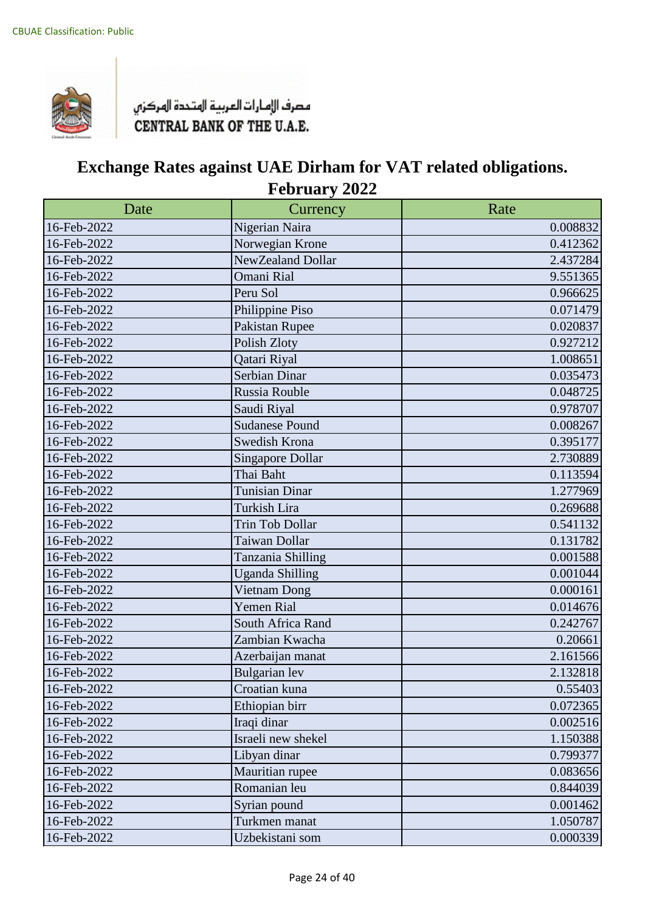

| Date        | Currency                | Rate     |
|-------------|-------------------------|----------|
| 16-Feb-2022 | Nigerian Naira          | 0.008832 |
| 16-Feb-2022 | Norwegian Krone         | 0.412362 |
| 16-Feb-2022 | NewZealand Dollar       | 2.437284 |
| 16-Feb-2022 | Omani Rial              | 9.551365 |
| 16-Feb-2022 | Peru Sol                | 0.966625 |
| 16-Feb-2022 | Philippine Piso         | 0.071479 |
| 16-Feb-2022 | Pakistan Rupee          | 0.020837 |
| 16-Feb-2022 | Polish Zloty            | 0.927212 |
| 16-Feb-2022 | Qatari Riyal            | 1.008651 |
| 16-Feb-2022 | Serbian Dinar           | 0.035473 |
| 16-Feb-2022 | Russia Rouble           | 0.048725 |
| 16-Feb-2022 | Saudi Riyal             | 0.978707 |
| 16-Feb-2022 | <b>Sudanese Pound</b>   | 0.008267 |
| 16-Feb-2022 | Swedish Krona           | 0.395177 |
| 16-Feb-2022 | <b>Singapore Dollar</b> | 2.730889 |
| 16-Feb-2022 | Thai Baht               | 0.113594 |
| 16-Feb-2022 | <b>Tunisian Dinar</b>   | 1.277969 |
| 16-Feb-2022 | Turkish Lira            | 0.269688 |
| 16-Feb-2022 | Trin Tob Dollar         | 0.541132 |
| 16-Feb-2022 | Taiwan Dollar           | 0.131782 |
| 16-Feb-2022 | Tanzania Shilling       | 0.001588 |
| 16-Feb-2022 | <b>Uganda Shilling</b>  | 0.001044 |
| 16-Feb-2022 | Vietnam Dong            | 0.000161 |
| 16-Feb-2022 | <b>Yemen Rial</b>       | 0.014676 |
| 16-Feb-2022 | South Africa Rand       | 0.242767 |
| 16-Feb-2022 | Zambian Kwacha          | 0.20661  |
| 16-Feb-2022 | Azerbaijan manat        | 2.161566 |
| 16-Feb-2022 | <b>Bulgarian</b> lev    | 2.132818 |
| 16-Feb-2022 | Croatian kuna           | 0.55403  |
| 16-Feb-2022 | Ethiopian birr          | 0.072365 |
| 16-Feb-2022 | Iraqi dinar             | 0.002516 |
| 16-Feb-2022 | Israeli new shekel      | 1.150388 |
| 16-Feb-2022 | Libyan dinar            | 0.799377 |
| 16-Feb-2022 | Mauritian rupee         | 0.083656 |
| 16-Feb-2022 | Romanian leu            | 0.844039 |
| 16-Feb-2022 | Syrian pound            | 0.001462 |
| 16-Feb-2022 | Turkmen manat           | 1.050787 |
| 16-Feb-2022 | Uzbekistani som         | 0.000339 |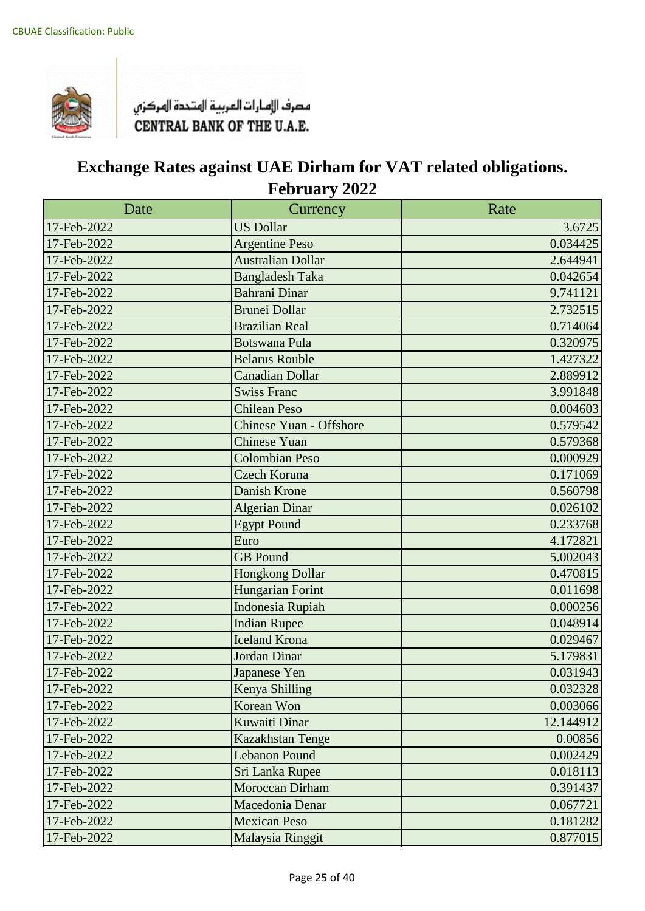

| Date        | Currency                 | Rate      |
|-------------|--------------------------|-----------|
| 17-Feb-2022 | <b>US Dollar</b>         | 3.6725    |
| 17-Feb-2022 | <b>Argentine Peso</b>    | 0.034425  |
| 17-Feb-2022 | <b>Australian Dollar</b> | 2.644941  |
| 17-Feb-2022 | <b>Bangladesh Taka</b>   | 0.042654  |
| 17-Feb-2022 | <b>Bahrani Dinar</b>     | 9.741121  |
| 17-Feb-2022 | <b>Brunei Dollar</b>     | 2.732515  |
| 17-Feb-2022 | <b>Brazilian Real</b>    | 0.714064  |
| 17-Feb-2022 | <b>Botswana Pula</b>     | 0.320975  |
| 17-Feb-2022 | <b>Belarus Rouble</b>    | 1.427322  |
| 17-Feb-2022 | <b>Canadian Dollar</b>   | 2.889912  |
| 17-Feb-2022 | <b>Swiss Franc</b>       | 3.991848  |
| 17-Feb-2022 | <b>Chilean Peso</b>      | 0.004603  |
| 17-Feb-2022 | Chinese Yuan - Offshore  | 0.579542  |
| 17-Feb-2022 | <b>Chinese Yuan</b>      | 0.579368  |
| 17-Feb-2022 | <b>Colombian Peso</b>    | 0.000929  |
| 17-Feb-2022 | <b>Czech Koruna</b>      | 0.171069  |
| 17-Feb-2022 | Danish Krone             | 0.560798  |
| 17-Feb-2022 | <b>Algerian Dinar</b>    | 0.026102  |
| 17-Feb-2022 | <b>Egypt Pound</b>       | 0.233768  |
| 17-Feb-2022 | Euro                     | 4.172821  |
| 17-Feb-2022 | <b>GB</b> Pound          | 5.002043  |
| 17-Feb-2022 | <b>Hongkong Dollar</b>   | 0.470815  |
| 17-Feb-2022 | <b>Hungarian Forint</b>  | 0.011698  |
| 17-Feb-2022 | <b>Indonesia Rupiah</b>  | 0.000256  |
| 17-Feb-2022 | <b>Indian Rupee</b>      | 0.048914  |
| 17-Feb-2022 | <b>Iceland Krona</b>     | 0.029467  |
| 17-Feb-2022 | Jordan Dinar             | 5.179831  |
| 17-Feb-2022 | Japanese Yen             | 0.031943  |
| 17-Feb-2022 | Kenya Shilling           | 0.032328  |
| 17-Feb-2022 | Korean Won               | 0.003066  |
| 17-Feb-2022 | Kuwaiti Dinar            | 12.144912 |
| 17-Feb-2022 | Kazakhstan Tenge         | 0.00856   |
| 17-Feb-2022 | <b>Lebanon Pound</b>     | 0.002429  |
| 17-Feb-2022 | Sri Lanka Rupee          | 0.018113  |
| 17-Feb-2022 | Moroccan Dirham          | 0.391437  |
| 17-Feb-2022 | Macedonia Denar          | 0.067721  |
| 17-Feb-2022 | <b>Mexican Peso</b>      | 0.181282  |
| 17-Feb-2022 | Malaysia Ringgit         | 0.877015  |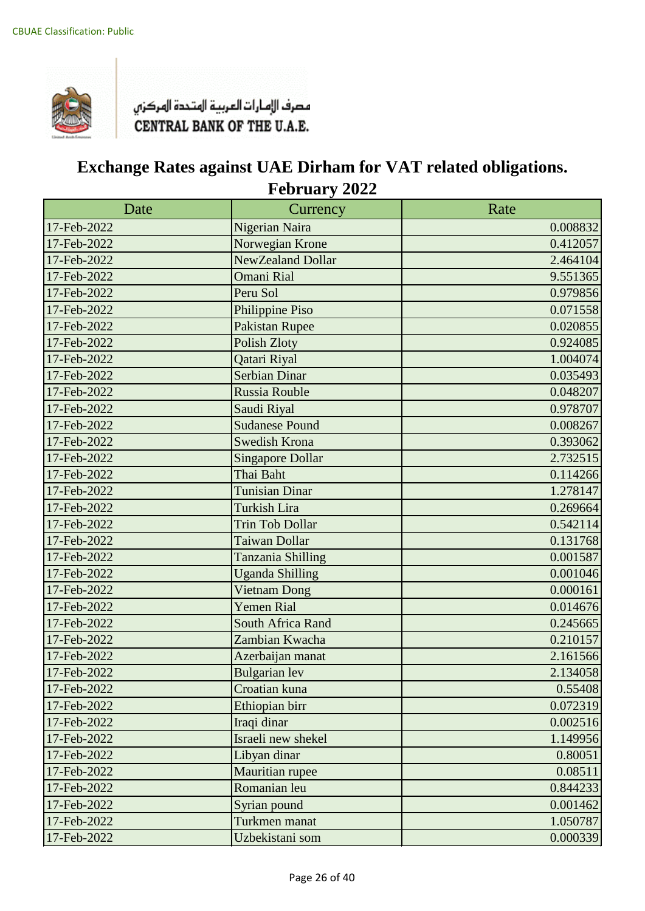

| Date        | Currency                | Rate     |
|-------------|-------------------------|----------|
| 17-Feb-2022 | Nigerian Naira          | 0.008832 |
| 17-Feb-2022 | Norwegian Krone         | 0.412057 |
| 17-Feb-2022 | NewZealand Dollar       | 2.464104 |
| 17-Feb-2022 | <b>Omani Rial</b>       | 9.551365 |
| 17-Feb-2022 | Peru Sol                | 0.979856 |
| 17-Feb-2022 | Philippine Piso         | 0.071558 |
| 17-Feb-2022 | <b>Pakistan Rupee</b>   | 0.020855 |
| 17-Feb-2022 | <b>Polish Zloty</b>     | 0.924085 |
| 17-Feb-2022 | Qatari Riyal            | 1.004074 |
| 17-Feb-2022 | <b>Serbian Dinar</b>    | 0.035493 |
| 17-Feb-2022 | Russia Rouble           | 0.048207 |
| 17-Feb-2022 | Saudi Riyal             | 0.978707 |
| 17-Feb-2022 | <b>Sudanese Pound</b>   | 0.008267 |
| 17-Feb-2022 | <b>Swedish Krona</b>    | 0.393062 |
| 17-Feb-2022 | <b>Singapore Dollar</b> | 2.732515 |
| 17-Feb-2022 | Thai Baht               | 0.114266 |
| 17-Feb-2022 | <b>Tunisian Dinar</b>   | 1.278147 |
| 17-Feb-2022 | <b>Turkish Lira</b>     | 0.269664 |
| 17-Feb-2022 | <b>Trin Tob Dollar</b>  | 0.542114 |
| 17-Feb-2022 | Taiwan Dollar           | 0.131768 |
| 17-Feb-2022 | Tanzania Shilling       | 0.001587 |
| 17-Feb-2022 | <b>Uganda Shilling</b>  | 0.001046 |
| 17-Feb-2022 | <b>Vietnam Dong</b>     | 0.000161 |
| 17-Feb-2022 | <b>Yemen Rial</b>       | 0.014676 |
| 17-Feb-2022 | South Africa Rand       | 0.245665 |
| 17-Feb-2022 | Zambian Kwacha          | 0.210157 |
| 17-Feb-2022 | Azerbaijan manat        | 2.161566 |
| 17-Feb-2022 | <b>Bulgarian</b> lev    | 2.134058 |
| 17-Feb-2022 | Croatian kuna           | 0.55408  |
| 17-Feb-2022 | Ethiopian birr          | 0.072319 |
| 17-Feb-2022 | Iraqi dinar             | 0.002516 |
| 17-Feb-2022 | Israeli new shekel      | 1.149956 |
| 17-Feb-2022 | Libyan dinar            | 0.80051  |
| 17-Feb-2022 | Mauritian rupee         | 0.08511  |
| 17-Feb-2022 | Romanian leu            | 0.844233 |
| 17-Feb-2022 | Syrian pound            | 0.001462 |
| 17-Feb-2022 | Turkmen manat           | 1.050787 |
| 17-Feb-2022 | Uzbekistani som         | 0.000339 |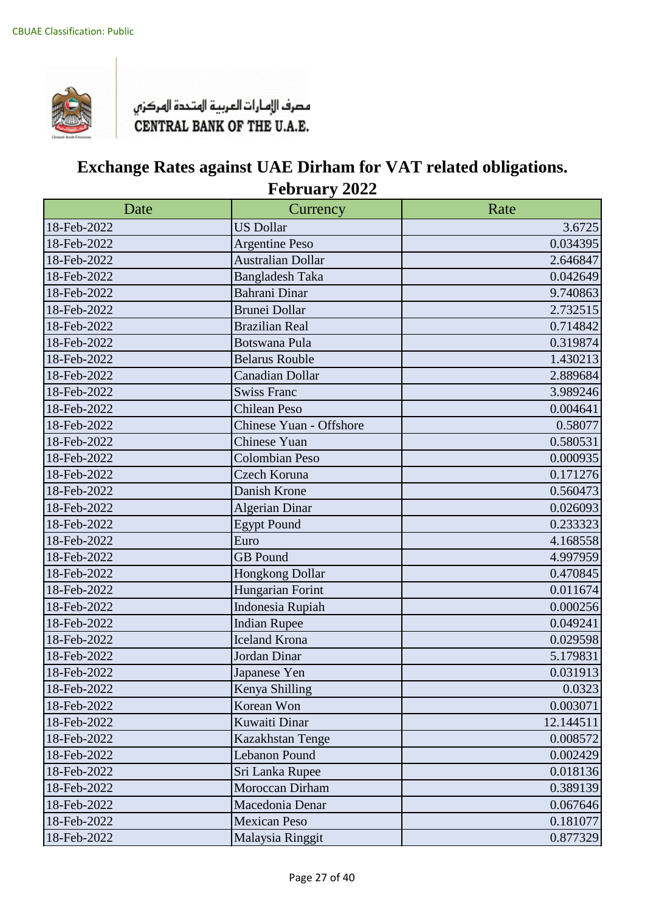

| Date        | Currency                 | Rate      |
|-------------|--------------------------|-----------|
| 18-Feb-2022 | <b>US Dollar</b>         | 3.6725    |
| 18-Feb-2022 | <b>Argentine Peso</b>    | 0.034395  |
| 18-Feb-2022 | <b>Australian Dollar</b> | 2.646847  |
| 18-Feb-2022 | <b>Bangladesh Taka</b>   | 0.042649  |
| 18-Feb-2022 | Bahrani Dinar            | 9.740863  |
| 18-Feb-2022 | <b>Brunei Dollar</b>     | 2.732515  |
| 18-Feb-2022 | <b>Brazilian Real</b>    | 0.714842  |
| 18-Feb-2022 | <b>Botswana Pula</b>     | 0.319874  |
| 18-Feb-2022 | <b>Belarus Rouble</b>    | 1.430213  |
| 18-Feb-2022 | Canadian Dollar          | 2.889684  |
| 18-Feb-2022 | <b>Swiss Franc</b>       | 3.989246  |
| 18-Feb-2022 | <b>Chilean Peso</b>      | 0.004641  |
| 18-Feb-2022 | Chinese Yuan - Offshore  | 0.58077   |
| 18-Feb-2022 | Chinese Yuan             | 0.580531  |
| 18-Feb-2022 | <b>Colombian Peso</b>    | 0.000935  |
| 18-Feb-2022 | Czech Koruna             | 0.171276  |
| 18-Feb-2022 | Danish Krone             | 0.560473  |
| 18-Feb-2022 | <b>Algerian Dinar</b>    | 0.026093  |
| 18-Feb-2022 | <b>Egypt Pound</b>       | 0.233323  |
| 18-Feb-2022 | Euro                     | 4.168558  |
| 18-Feb-2022 | <b>GB</b> Pound          | 4.997959  |
| 18-Feb-2022 | Hongkong Dollar          | 0.470845  |
| 18-Feb-2022 | Hungarian Forint         | 0.011674  |
| 18-Feb-2022 | Indonesia Rupiah         | 0.000256  |
| 18-Feb-2022 | <b>Indian Rupee</b>      | 0.049241  |
| 18-Feb-2022 | <b>Iceland Krona</b>     | 0.029598  |
| 18-Feb-2022 | Jordan Dinar             | 5.179831  |
| 18-Feb-2022 | Japanese Yen             | 0.031913  |
| 18-Feb-2022 | Kenya Shilling           | 0.0323    |
| 18-Feb-2022 | Korean Won               | 0.003071  |
| 18-Feb-2022 | Kuwaiti Dinar            | 12.144511 |
| 18-Feb-2022 | Kazakhstan Tenge         | 0.008572  |
| 18-Feb-2022 | <b>Lebanon Pound</b>     | 0.002429  |
| 18-Feb-2022 | Sri Lanka Rupee          | 0.018136  |
| 18-Feb-2022 | Moroccan Dirham          | 0.389139  |
| 18-Feb-2022 | Macedonia Denar          | 0.067646  |
| 18-Feb-2022 | <b>Mexican Peso</b>      | 0.181077  |
| 18-Feb-2022 | Malaysia Ringgit         | 0.877329  |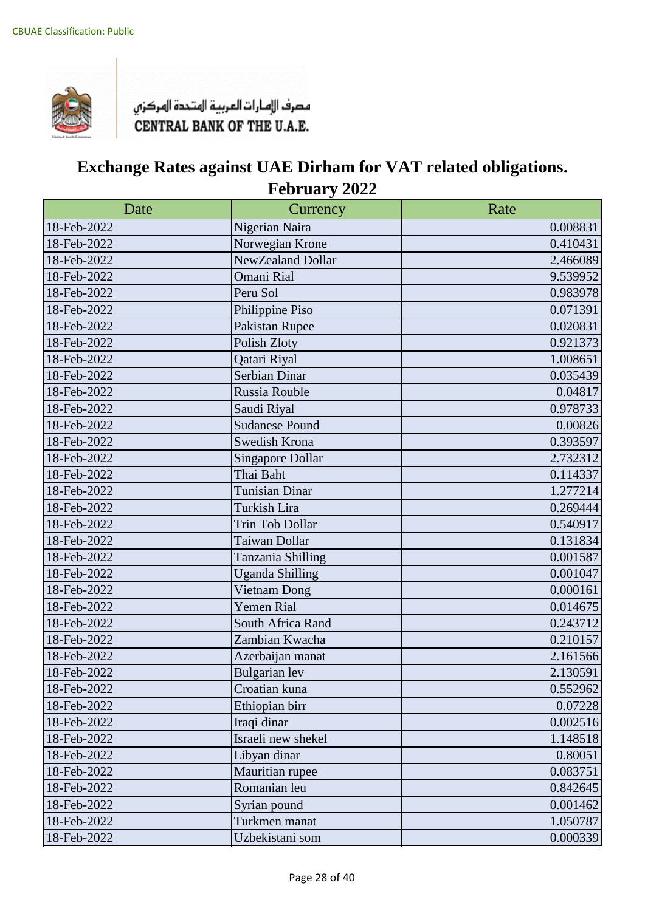

| Date        | Currency                | Rate     |
|-------------|-------------------------|----------|
| 18-Feb-2022 | Nigerian Naira          | 0.008831 |
| 18-Feb-2022 | Norwegian Krone         | 0.410431 |
| 18-Feb-2022 | NewZealand Dollar       | 2.466089 |
| 18-Feb-2022 | Omani Rial              | 9.539952 |
| 18-Feb-2022 | Peru Sol                | 0.983978 |
| 18-Feb-2022 | Philippine Piso         | 0.071391 |
| 18-Feb-2022 | Pakistan Rupee          | 0.020831 |
| 18-Feb-2022 | Polish Zloty            | 0.921373 |
| 18-Feb-2022 | Qatari Riyal            | 1.008651 |
| 18-Feb-2022 | Serbian Dinar           | 0.035439 |
| 18-Feb-2022 | Russia Rouble           | 0.04817  |
| 18-Feb-2022 | Saudi Riyal             | 0.978733 |
| 18-Feb-2022 | <b>Sudanese Pound</b>   | 0.00826  |
| 18-Feb-2022 | Swedish Krona           | 0.393597 |
| 18-Feb-2022 | <b>Singapore Dollar</b> | 2.732312 |
| 18-Feb-2022 | Thai Baht               | 0.114337 |
| 18-Feb-2022 | Tunisian Dinar          | 1.277214 |
| 18-Feb-2022 | Turkish Lira            | 0.269444 |
| 18-Feb-2022 | Trin Tob Dollar         | 0.540917 |
| 18-Feb-2022 | Taiwan Dollar           | 0.131834 |
| 18-Feb-2022 | Tanzania Shilling       | 0.001587 |
| 18-Feb-2022 | <b>Uganda Shilling</b>  | 0.001047 |
| 18-Feb-2022 | Vietnam Dong            | 0.000161 |
| 18-Feb-2022 | Yemen Rial              | 0.014675 |
| 18-Feb-2022 | South Africa Rand       | 0.243712 |
| 18-Feb-2022 | Zambian Kwacha          | 0.210157 |
| 18-Feb-2022 | Azerbaijan manat        | 2.161566 |
| 18-Feb-2022 | <b>Bulgarian</b> lev    | 2.130591 |
| 18-Feb-2022 | Croatian kuna           | 0.552962 |
| 18-Feb-2022 | Ethiopian birr          | 0.07228  |
| 18-Feb-2022 | Iraqi dinar             | 0.002516 |
| 18-Feb-2022 | Israeli new shekel      | 1.148518 |
| 18-Feb-2022 | Libyan dinar            | 0.80051  |
| 18-Feb-2022 | Mauritian rupee         | 0.083751 |
| 18-Feb-2022 | Romanian leu            | 0.842645 |
| 18-Feb-2022 | Syrian pound            | 0.001462 |
| 18-Feb-2022 | Turkmen manat           | 1.050787 |
| 18-Feb-2022 | Uzbekistani som         | 0.000339 |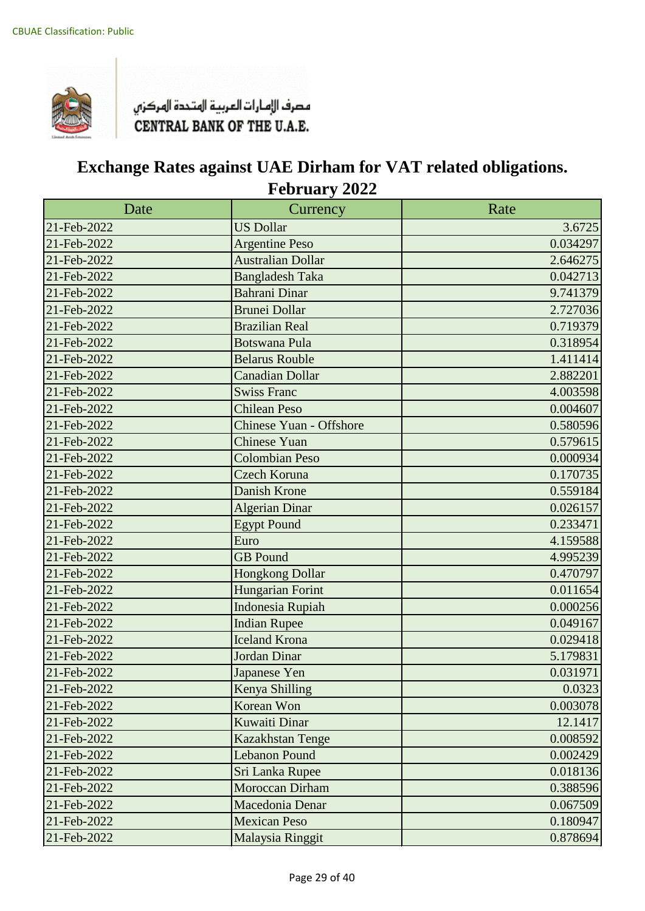

| Date        | Currency                       | Rate     |
|-------------|--------------------------------|----------|
| 21-Feb-2022 | <b>US Dollar</b>               | 3.6725   |
| 21-Feb-2022 | <b>Argentine Peso</b>          | 0.034297 |
| 21-Feb-2022 | <b>Australian Dollar</b>       | 2.646275 |
| 21-Feb-2022 | <b>Bangladesh Taka</b>         | 0.042713 |
| 21-Feb-2022 | <b>Bahrani Dinar</b>           | 9.741379 |
| 21-Feb-2022 | <b>Brunei Dollar</b>           | 2.727036 |
| 21-Feb-2022 | <b>Brazilian Real</b>          | 0.719379 |
| 21-Feb-2022 | <b>Botswana Pula</b>           | 0.318954 |
| 21-Feb-2022 | <b>Belarus Rouble</b>          | 1.411414 |
| 21-Feb-2022 | Canadian Dollar                | 2.882201 |
| 21-Feb-2022 | <b>Swiss Franc</b>             | 4.003598 |
| 21-Feb-2022 | <b>Chilean Peso</b>            | 0.004607 |
| 21-Feb-2022 | <b>Chinese Yuan - Offshore</b> | 0.580596 |
| 21-Feb-2022 | <b>Chinese Yuan</b>            | 0.579615 |
| 21-Feb-2022 | <b>Colombian Peso</b>          | 0.000934 |
| 21-Feb-2022 | <b>Czech Koruna</b>            | 0.170735 |
| 21-Feb-2022 | <b>Danish Krone</b>            | 0.559184 |
| 21-Feb-2022 | <b>Algerian Dinar</b>          | 0.026157 |
| 21-Feb-2022 | <b>Egypt Pound</b>             | 0.233471 |
| 21-Feb-2022 | Euro                           | 4.159588 |
| 21-Feb-2022 | <b>GB</b> Pound                | 4.995239 |
| 21-Feb-2022 | <b>Hongkong Dollar</b>         | 0.470797 |
| 21-Feb-2022 | <b>Hungarian Forint</b>        | 0.011654 |
| 21-Feb-2022 | <b>Indonesia Rupiah</b>        | 0.000256 |
| 21-Feb-2022 | <b>Indian Rupee</b>            | 0.049167 |
| 21-Feb-2022 | <b>Iceland Krona</b>           | 0.029418 |
| 21-Feb-2022 | Jordan Dinar                   | 5.179831 |
| 21-Feb-2022 | Japanese Yen                   | 0.031971 |
| 21-Feb-2022 | Kenya Shilling                 | 0.0323   |
| 21-Feb-2022 | Korean Won                     | 0.003078 |
| 21-Feb-2022 | Kuwaiti Dinar                  | 12.1417  |
| 21-Feb-2022 | Kazakhstan Tenge               | 0.008592 |
| 21-Feb-2022 | <b>Lebanon Pound</b>           | 0.002429 |
| 21-Feb-2022 | Sri Lanka Rupee                | 0.018136 |
| 21-Feb-2022 | Moroccan Dirham                | 0.388596 |
| 21-Feb-2022 | Macedonia Denar                | 0.067509 |
| 21-Feb-2022 | <b>Mexican Peso</b>            | 0.180947 |
| 21-Feb-2022 | Malaysia Ringgit               | 0.878694 |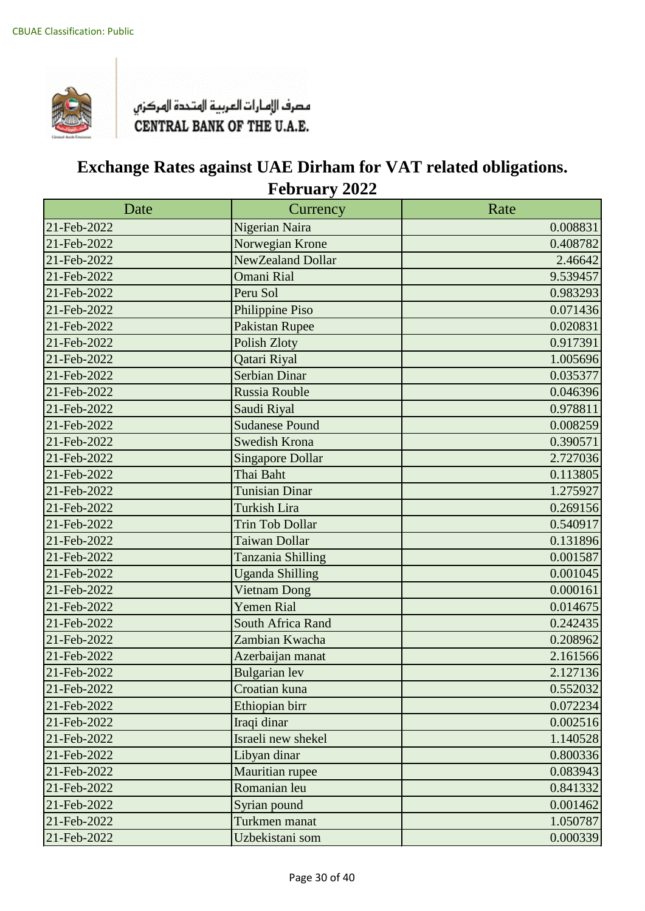

| Date        | Currency                | Rate     |
|-------------|-------------------------|----------|
| 21-Feb-2022 | Nigerian Naira          | 0.008831 |
| 21-Feb-2022 | Norwegian Krone         | 0.408782 |
| 21-Feb-2022 | NewZealand Dollar       | 2.46642  |
| 21-Feb-2022 | <b>Omani Rial</b>       | 9.539457 |
| 21-Feb-2022 | Peru Sol                | 0.983293 |
| 21-Feb-2022 | Philippine Piso         | 0.071436 |
| 21-Feb-2022 | <b>Pakistan Rupee</b>   | 0.020831 |
| 21-Feb-2022 | <b>Polish Zloty</b>     | 0.917391 |
| 21-Feb-2022 | Qatari Riyal            | 1.005696 |
| 21-Feb-2022 | <b>Serbian Dinar</b>    | 0.035377 |
| 21-Feb-2022 | Russia Rouble           | 0.046396 |
| 21-Feb-2022 | Saudi Riyal             | 0.978811 |
| 21-Feb-2022 | <b>Sudanese Pound</b>   | 0.008259 |
| 21-Feb-2022 | Swedish Krona           | 0.390571 |
| 21-Feb-2022 | <b>Singapore Dollar</b> | 2.727036 |
| 21-Feb-2022 | Thai Baht               | 0.113805 |
| 21-Feb-2022 | <b>Tunisian Dinar</b>   | 1.275927 |
| 21-Feb-2022 | <b>Turkish Lira</b>     | 0.269156 |
| 21-Feb-2022 | <b>Trin Tob Dollar</b>  | 0.540917 |
| 21-Feb-2022 | <b>Taiwan Dollar</b>    | 0.131896 |
| 21-Feb-2022 | Tanzania Shilling       | 0.001587 |
| 21-Feb-2022 | <b>Uganda Shilling</b>  | 0.001045 |
| 21-Feb-2022 | <b>Vietnam Dong</b>     | 0.000161 |
| 21-Feb-2022 | <b>Yemen Rial</b>       | 0.014675 |
| 21-Feb-2022 | South Africa Rand       | 0.242435 |
| 21-Feb-2022 | Zambian Kwacha          | 0.208962 |
| 21-Feb-2022 | Azerbaijan manat        | 2.161566 |
| 21-Feb-2022 | <b>Bulgarian</b> lev    | 2.127136 |
| 21-Feb-2022 | Croatian kuna           | 0.552032 |
| 21-Feb-2022 | Ethiopian birr          | 0.072234 |
| 21-Feb-2022 | Iraqi dinar             | 0.002516 |
| 21-Feb-2022 | Israeli new shekel      | 1.140528 |
| 21-Feb-2022 | Libyan dinar            | 0.800336 |
| 21-Feb-2022 | Mauritian rupee         | 0.083943 |
| 21-Feb-2022 | Romanian leu            | 0.841332 |
| 21-Feb-2022 | Syrian pound            | 0.001462 |
| 21-Feb-2022 | Turkmen manat           | 1.050787 |
| 21-Feb-2022 | Uzbekistani som         | 0.000339 |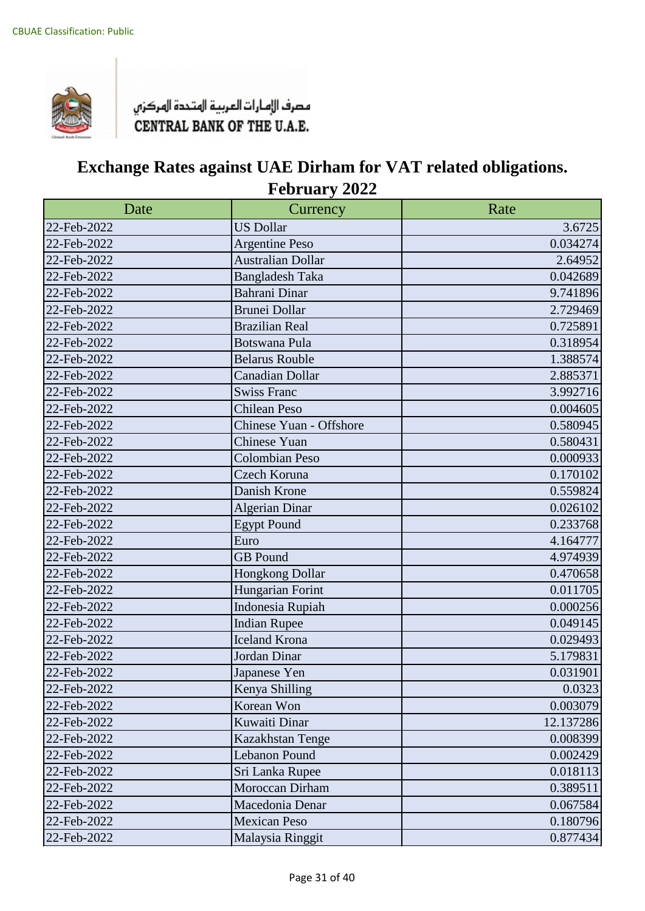

| Date        | Currency                 | Rate      |
|-------------|--------------------------|-----------|
| 22-Feb-2022 | <b>US Dollar</b>         | 3.6725    |
| 22-Feb-2022 | <b>Argentine Peso</b>    | 0.034274  |
| 22-Feb-2022 | <b>Australian Dollar</b> | 2.64952   |
| 22-Feb-2022 | <b>Bangladesh Taka</b>   | 0.042689  |
| 22-Feb-2022 | Bahrani Dinar            | 9.741896  |
| 22-Feb-2022 | <b>Brunei Dollar</b>     | 2.729469  |
| 22-Feb-2022 | <b>Brazilian Real</b>    | 0.725891  |
| 22-Feb-2022 | <b>Botswana Pula</b>     | 0.318954  |
| 22-Feb-2022 | <b>Belarus Rouble</b>    | 1.388574  |
| 22-Feb-2022 | Canadian Dollar          | 2.885371  |
| 22-Feb-2022 | <b>Swiss Franc</b>       | 3.992716  |
| 22-Feb-2022 | <b>Chilean Peso</b>      | 0.004605  |
| 22-Feb-2022 | Chinese Yuan - Offshore  | 0.580945  |
| 22-Feb-2022 | <b>Chinese Yuan</b>      | 0.580431  |
| 22-Feb-2022 | <b>Colombian Peso</b>    | 0.000933  |
| 22-Feb-2022 | Czech Koruna             | 0.170102  |
| 22-Feb-2022 | Danish Krone             | 0.559824  |
| 22-Feb-2022 | <b>Algerian Dinar</b>    | 0.026102  |
| 22-Feb-2022 | <b>Egypt Pound</b>       | 0.233768  |
| 22-Feb-2022 | Euro                     | 4.164777  |
| 22-Feb-2022 | <b>GB</b> Pound          | 4.974939  |
| 22-Feb-2022 | <b>Hongkong Dollar</b>   | 0.470658  |
| 22-Feb-2022 | Hungarian Forint         | 0.011705  |
| 22-Feb-2022 | Indonesia Rupiah         | 0.000256  |
| 22-Feb-2022 | <b>Indian Rupee</b>      | 0.049145  |
| 22-Feb-2022 | Iceland Krona            | 0.029493  |
| 22-Feb-2022 | Jordan Dinar             | 5.179831  |
| 22-Feb-2022 | Japanese Yen             | 0.031901  |
| 22-Feb-2022 | Kenya Shilling           | 0.0323    |
| 22-Feb-2022 | Korean Won               | 0.003079  |
| 22-Feb-2022 | Kuwaiti Dinar            | 12.137286 |
| 22-Feb-2022 | Kazakhstan Tenge         | 0.008399  |
| 22-Feb-2022 | Lebanon Pound            | 0.002429  |
| 22-Feb-2022 | Sri Lanka Rupee          | 0.018113  |
| 22-Feb-2022 | Moroccan Dirham          | 0.389511  |
| 22-Feb-2022 | Macedonia Denar          | 0.067584  |
| 22-Feb-2022 | <b>Mexican Peso</b>      | 0.180796  |
| 22-Feb-2022 | Malaysia Ringgit         | 0.877434  |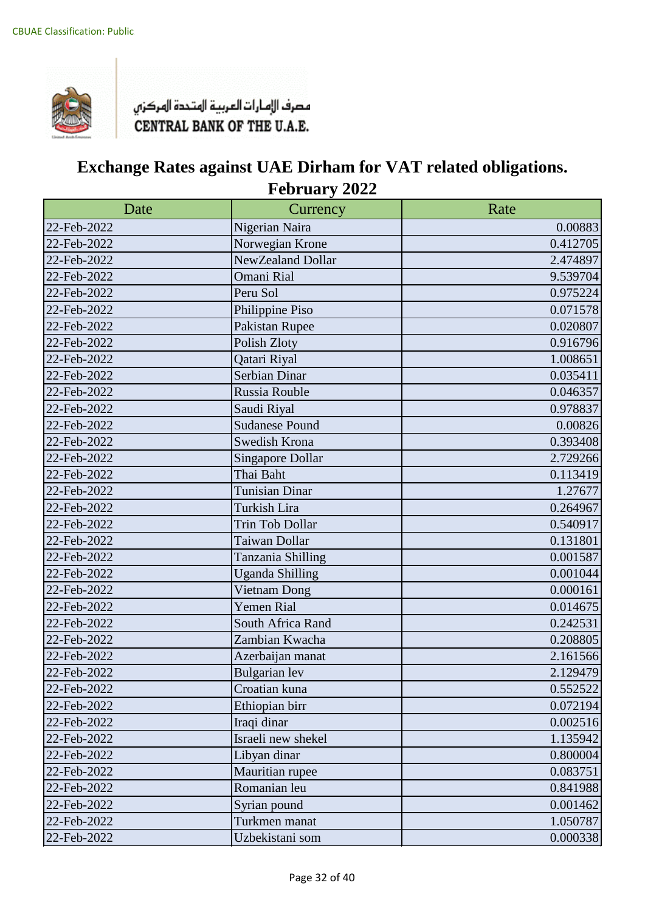

| Date        | Currency                | Rate     |
|-------------|-------------------------|----------|
| 22-Feb-2022 | Nigerian Naira          | 0.00883  |
| 22-Feb-2022 | Norwegian Krone         | 0.412705 |
| 22-Feb-2022 | NewZealand Dollar       | 2.474897 |
| 22-Feb-2022 | Omani Rial              | 9.539704 |
| 22-Feb-2022 | Peru Sol                | 0.975224 |
| 22-Feb-2022 | Philippine Piso         | 0.071578 |
| 22-Feb-2022 | Pakistan Rupee          | 0.020807 |
| 22-Feb-2022 | Polish Zloty            | 0.916796 |
| 22-Feb-2022 | Qatari Riyal            | 1.008651 |
| 22-Feb-2022 | Serbian Dinar           | 0.035411 |
| 22-Feb-2022 | Russia Rouble           | 0.046357 |
| 22-Feb-2022 | Saudi Riyal             | 0.978837 |
| 22-Feb-2022 | <b>Sudanese Pound</b>   | 0.00826  |
| 22-Feb-2022 | Swedish Krona           | 0.393408 |
| 22-Feb-2022 | <b>Singapore Dollar</b> | 2.729266 |
| 22-Feb-2022 | Thai Baht               | 0.113419 |
| 22-Feb-2022 | <b>Tunisian Dinar</b>   | 1.27677  |
| 22-Feb-2022 | Turkish Lira            | 0.264967 |
| 22-Feb-2022 | <b>Trin Tob Dollar</b>  | 0.540917 |
| 22-Feb-2022 | Taiwan Dollar           | 0.131801 |
| 22-Feb-2022 | Tanzania Shilling       | 0.001587 |
| 22-Feb-2022 | <b>Uganda Shilling</b>  | 0.001044 |
| 22-Feb-2022 | Vietnam Dong            | 0.000161 |
| 22-Feb-2022 | <b>Yemen Rial</b>       | 0.014675 |
| 22-Feb-2022 | South Africa Rand       | 0.242531 |
| 22-Feb-2022 | Zambian Kwacha          | 0.208805 |
| 22-Feb-2022 | Azerbaijan manat        | 2.161566 |
| 22-Feb-2022 | Bulgarian lev           | 2.129479 |
| 22-Feb-2022 | Croatian kuna           | 0.552522 |
| 22-Feb-2022 | Ethiopian birr          | 0.072194 |
| 22-Feb-2022 | Iraqi dinar             | 0.002516 |
| 22-Feb-2022 | Israeli new shekel      | 1.135942 |
| 22-Feb-2022 | Libyan dinar            | 0.800004 |
| 22-Feb-2022 | Mauritian rupee         | 0.083751 |
| 22-Feb-2022 | Romanian leu            | 0.841988 |
| 22-Feb-2022 | Syrian pound            | 0.001462 |
| 22-Feb-2022 | Turkmen manat           | 1.050787 |
| 22-Feb-2022 | Uzbekistani som         | 0.000338 |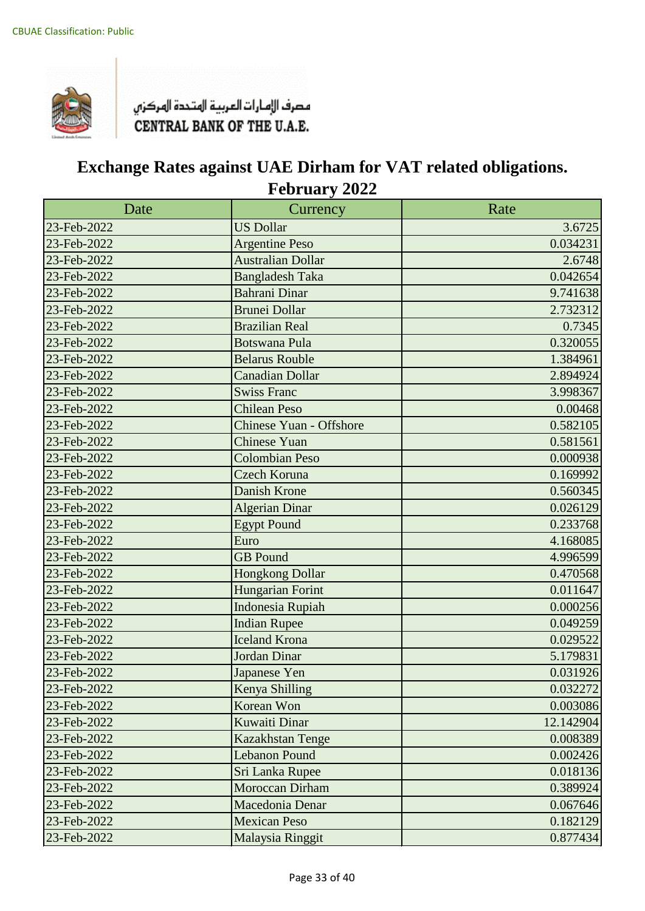

| Date        | Currency                       | Rate      |
|-------------|--------------------------------|-----------|
| 23-Feb-2022 | <b>US Dollar</b>               | 3.6725    |
| 23-Feb-2022 | <b>Argentine Peso</b>          | 0.034231  |
| 23-Feb-2022 | <b>Australian Dollar</b>       | 2.6748    |
| 23-Feb-2022 | <b>Bangladesh Taka</b>         | 0.042654  |
| 23-Feb-2022 | <b>Bahrani Dinar</b>           | 9.741638  |
| 23-Feb-2022 | <b>Brunei Dollar</b>           | 2.732312  |
| 23-Feb-2022 | <b>Brazilian Real</b>          | 0.7345    |
| 23-Feb-2022 | <b>Botswana Pula</b>           | 0.320055  |
| 23-Feb-2022 | <b>Belarus Rouble</b>          | 1.384961  |
| 23-Feb-2022 | <b>Canadian Dollar</b>         | 2.894924  |
| 23-Feb-2022 | <b>Swiss Franc</b>             | 3.998367  |
| 23-Feb-2022 | <b>Chilean Peso</b>            | 0.00468   |
| 23-Feb-2022 | <b>Chinese Yuan - Offshore</b> | 0.582105  |
| 23-Feb-2022 | <b>Chinese Yuan</b>            | 0.581561  |
| 23-Feb-2022 | <b>Colombian Peso</b>          | 0.000938  |
| 23-Feb-2022 | <b>Czech Koruna</b>            | 0.169992  |
| 23-Feb-2022 | Danish Krone                   | 0.560345  |
| 23-Feb-2022 | <b>Algerian Dinar</b>          | 0.026129  |
| 23-Feb-2022 | <b>Egypt Pound</b>             | 0.233768  |
| 23-Feb-2022 | Euro                           | 4.168085  |
| 23-Feb-2022 | <b>GB</b> Pound                | 4.996599  |
| 23-Feb-2022 | <b>Hongkong Dollar</b>         | 0.470568  |
| 23-Feb-2022 | Hungarian Forint               | 0.011647  |
| 23-Feb-2022 | <b>Indonesia Rupiah</b>        | 0.000256  |
| 23-Feb-2022 | <b>Indian Rupee</b>            | 0.049259  |
| 23-Feb-2022 | <b>Iceland Krona</b>           | 0.029522  |
| 23-Feb-2022 | Jordan Dinar                   | 5.179831  |
| 23-Feb-2022 | Japanese Yen                   | 0.031926  |
| 23-Feb-2022 | Kenya Shilling                 | 0.032272  |
| 23-Feb-2022 | Korean Won                     | 0.003086  |
| 23-Feb-2022 | <b>Kuwaiti Dinar</b>           | 12.142904 |
| 23-Feb-2022 | Kazakhstan Tenge               | 0.008389  |
| 23-Feb-2022 | <b>Lebanon Pound</b>           | 0.002426  |
| 23-Feb-2022 | Sri Lanka Rupee                | 0.018136  |
| 23-Feb-2022 | Moroccan Dirham                | 0.389924  |
| 23-Feb-2022 | Macedonia Denar                | 0.067646  |
| 23-Feb-2022 | <b>Mexican Peso</b>            | 0.182129  |
| 23-Feb-2022 | Malaysia Ringgit               | 0.877434  |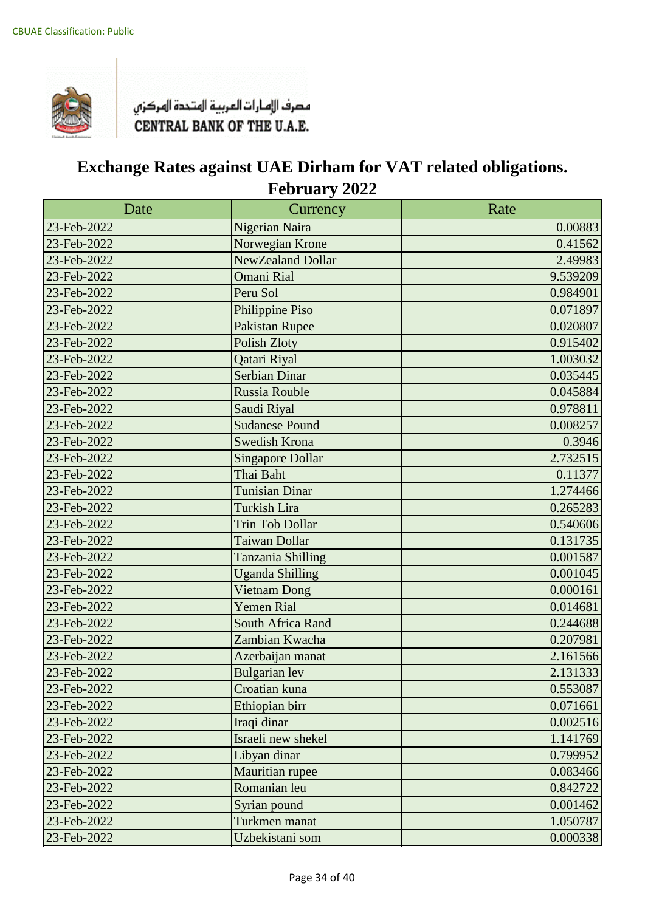

| Date        | Currency                | Rate     |
|-------------|-------------------------|----------|
| 23-Feb-2022 | Nigerian Naira          | 0.00883  |
| 23-Feb-2022 | Norwegian Krone         | 0.41562  |
| 23-Feb-2022 | NewZealand Dollar       | 2.49983  |
| 23-Feb-2022 | <b>Omani Rial</b>       | 9.539209 |
| 23-Feb-2022 | Peru Sol                | 0.984901 |
| 23-Feb-2022 | Philippine Piso         | 0.071897 |
| 23-Feb-2022 | <b>Pakistan Rupee</b>   | 0.020807 |
| 23-Feb-2022 | Polish Zloty            | 0.915402 |
| 23-Feb-2022 | Qatari Riyal            | 1.003032 |
| 23-Feb-2022 | <b>Serbian Dinar</b>    | 0.035445 |
| 23-Feb-2022 | Russia Rouble           | 0.045884 |
| 23-Feb-2022 | Saudi Riyal             | 0.978811 |
| 23-Feb-2022 | <b>Sudanese Pound</b>   | 0.008257 |
| 23-Feb-2022 | Swedish Krona           | 0.3946   |
| 23-Feb-2022 | <b>Singapore Dollar</b> | 2.732515 |
| 23-Feb-2022 | Thai Baht               | 0.11377  |
| 23-Feb-2022 | <b>Tunisian Dinar</b>   | 1.274466 |
| 23-Feb-2022 | <b>Turkish Lira</b>     | 0.265283 |
| 23-Feb-2022 | <b>Trin Tob Dollar</b>  | 0.540606 |
| 23-Feb-2022 | <b>Taiwan Dollar</b>    | 0.131735 |
| 23-Feb-2022 | Tanzania Shilling       | 0.001587 |
| 23-Feb-2022 | <b>Uganda Shilling</b>  | 0.001045 |
| 23-Feb-2022 | <b>Vietnam Dong</b>     | 0.000161 |
| 23-Feb-2022 | <b>Yemen Rial</b>       | 0.014681 |
| 23-Feb-2022 | South Africa Rand       | 0.244688 |
| 23-Feb-2022 | Zambian Kwacha          | 0.207981 |
| 23-Feb-2022 | Azerbaijan manat        | 2.161566 |
| 23-Feb-2022 | <b>Bulgarian</b> lev    | 2.131333 |
| 23-Feb-2022 | Croatian kuna           | 0.553087 |
| 23-Feb-2022 | Ethiopian birr          | 0.071661 |
| 23-Feb-2022 | Iraqi dinar             | 0.002516 |
| 23-Feb-2022 | Israeli new shekel      | 1.141769 |
| 23-Feb-2022 | Libyan dinar            | 0.799952 |
| 23-Feb-2022 | Mauritian rupee         | 0.083466 |
| 23-Feb-2022 | Romanian leu            | 0.842722 |
| 23-Feb-2022 | Syrian pound            | 0.001462 |
| 23-Feb-2022 | Turkmen manat           | 1.050787 |
| 23-Feb-2022 | Uzbekistani som         | 0.000338 |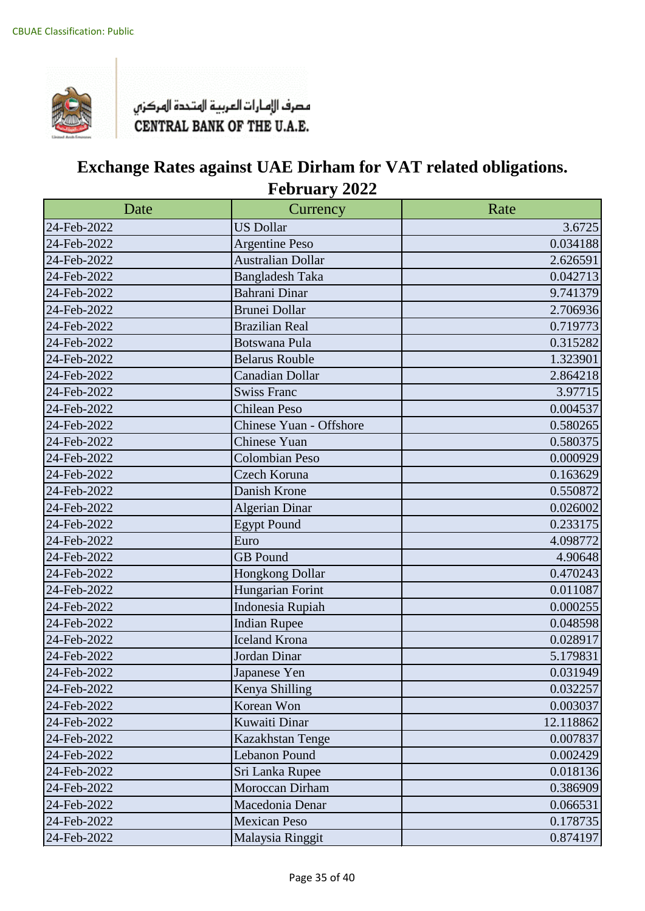

| Date        | Currency                 | Rate      |
|-------------|--------------------------|-----------|
| 24-Feb-2022 | <b>US Dollar</b>         | 3.6725    |
| 24-Feb-2022 | <b>Argentine Peso</b>    | 0.034188  |
| 24-Feb-2022 | <b>Australian Dollar</b> | 2.626591  |
| 24-Feb-2022 | <b>Bangladesh Taka</b>   | 0.042713  |
| 24-Feb-2022 | Bahrani Dinar            | 9.741379  |
| 24-Feb-2022 | <b>Brunei Dollar</b>     | 2.706936  |
| 24-Feb-2022 | <b>Brazilian Real</b>    | 0.719773  |
| 24-Feb-2022 | <b>Botswana Pula</b>     | 0.315282  |
| 24-Feb-2022 | <b>Belarus Rouble</b>    | 1.323901  |
| 24-Feb-2022 | Canadian Dollar          | 2.864218  |
| 24-Feb-2022 | <b>Swiss Franc</b>       | 3.97715   |
| 24-Feb-2022 | <b>Chilean Peso</b>      | 0.004537  |
| 24-Feb-2022 | Chinese Yuan - Offshore  | 0.580265  |
| 24-Feb-2022 | <b>Chinese Yuan</b>      | 0.580375  |
| 24-Feb-2022 | <b>Colombian Peso</b>    | 0.000929  |
| 24-Feb-2022 | Czech Koruna             | 0.163629  |
| 24-Feb-2022 | Danish Krone             | 0.550872  |
| 24-Feb-2022 | <b>Algerian Dinar</b>    | 0.026002  |
| 24-Feb-2022 | <b>Egypt Pound</b>       | 0.233175  |
| 24-Feb-2022 | Euro                     | 4.098772  |
| 24-Feb-2022 | <b>GB</b> Pound          | 4.90648   |
| 24-Feb-2022 | <b>Hongkong Dollar</b>   | 0.470243  |
| 24-Feb-2022 | Hungarian Forint         | 0.011087  |
| 24-Feb-2022 | Indonesia Rupiah         | 0.000255  |
| 24-Feb-2022 | <b>Indian Rupee</b>      | 0.048598  |
| 24-Feb-2022 | Iceland Krona            | 0.028917  |
| 24-Feb-2022 | Jordan Dinar             | 5.179831  |
| 24-Feb-2022 | Japanese Yen             | 0.031949  |
| 24-Feb-2022 | Kenya Shilling           | 0.032257  |
| 24-Feb-2022 | Korean Won               | 0.003037  |
| 24-Feb-2022 | Kuwaiti Dinar            | 12.118862 |
| 24-Feb-2022 | Kazakhstan Tenge         | 0.007837  |
| 24-Feb-2022 | Lebanon Pound            | 0.002429  |
| 24-Feb-2022 | Sri Lanka Rupee          | 0.018136  |
| 24-Feb-2022 | Moroccan Dirham          | 0.386909  |
| 24-Feb-2022 | Macedonia Denar          | 0.066531  |
| 24-Feb-2022 | <b>Mexican Peso</b>      | 0.178735  |
| 24-Feb-2022 | Malaysia Ringgit         | 0.874197  |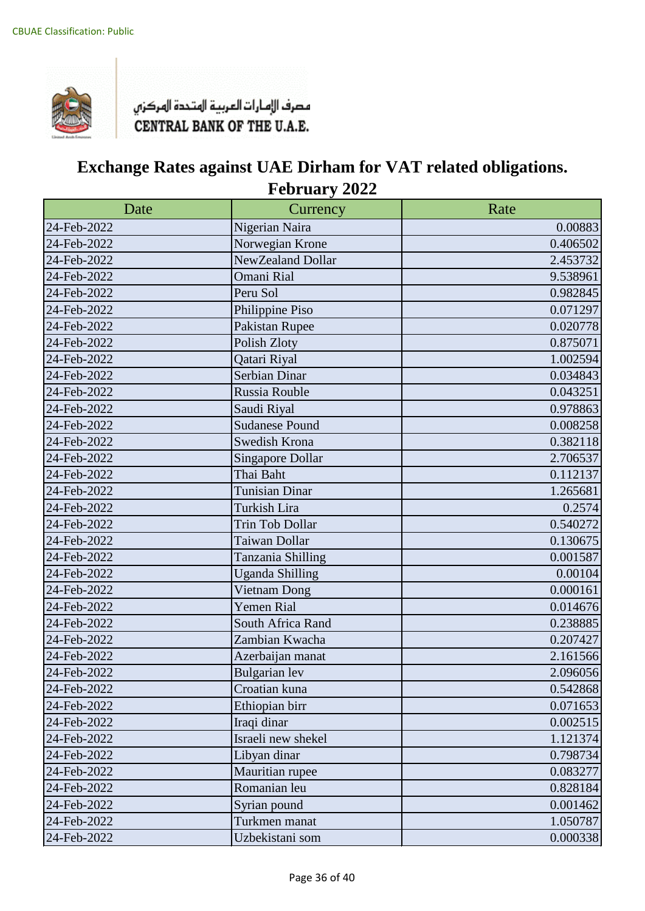

| Date        | Currency                | Rate     |
|-------------|-------------------------|----------|
| 24-Feb-2022 | Nigerian Naira          | 0.00883  |
| 24-Feb-2022 | Norwegian Krone         | 0.406502 |
| 24-Feb-2022 | NewZealand Dollar       | 2.453732 |
| 24-Feb-2022 | Omani Rial              | 9.538961 |
| 24-Feb-2022 | Peru Sol                | 0.982845 |
| 24-Feb-2022 | Philippine Piso         | 0.071297 |
| 24-Feb-2022 | Pakistan Rupee          | 0.020778 |
| 24-Feb-2022 | Polish Zloty            | 0.875071 |
| 24-Feb-2022 | Qatari Riyal            | 1.002594 |
| 24-Feb-2022 | Serbian Dinar           | 0.034843 |
| 24-Feb-2022 | Russia Rouble           | 0.043251 |
| 24-Feb-2022 | Saudi Riyal             | 0.978863 |
| 24-Feb-2022 | <b>Sudanese Pound</b>   | 0.008258 |
| 24-Feb-2022 | Swedish Krona           | 0.382118 |
| 24-Feb-2022 | <b>Singapore Dollar</b> | 2.706537 |
| 24-Feb-2022 | Thai Baht               | 0.112137 |
| 24-Feb-2022 | <b>Tunisian Dinar</b>   | 1.265681 |
| 24-Feb-2022 | Turkish Lira            | 0.2574   |
| 24-Feb-2022 | <b>Trin Tob Dollar</b>  | 0.540272 |
| 24-Feb-2022 | Taiwan Dollar           | 0.130675 |
| 24-Feb-2022 | Tanzania Shilling       | 0.001587 |
| 24-Feb-2022 | <b>Uganda Shilling</b>  | 0.00104  |
| 24-Feb-2022 | Vietnam Dong            | 0.000161 |
| 24-Feb-2022 | Yemen Rial              | 0.014676 |
| 24-Feb-2022 | South Africa Rand       | 0.238885 |
| 24-Feb-2022 | Zambian Kwacha          | 0.207427 |
| 24-Feb-2022 | Azerbaijan manat        | 2.161566 |
| 24-Feb-2022 | <b>Bulgarian</b> lev    | 2.096056 |
| 24-Feb-2022 | Croatian kuna           | 0.542868 |
| 24-Feb-2022 | Ethiopian birr          | 0.071653 |
| 24-Feb-2022 | Iraqi dinar             | 0.002515 |
| 24-Feb-2022 | Israeli new shekel      | 1.121374 |
| 24-Feb-2022 | Libyan dinar            | 0.798734 |
| 24-Feb-2022 | Mauritian rupee         | 0.083277 |
| 24-Feb-2022 | Romanian leu            | 0.828184 |
| 24-Feb-2022 | Syrian pound            | 0.001462 |
| 24-Feb-2022 | Turkmen manat           | 1.050787 |
| 24-Feb-2022 | Uzbekistani som         | 0.000338 |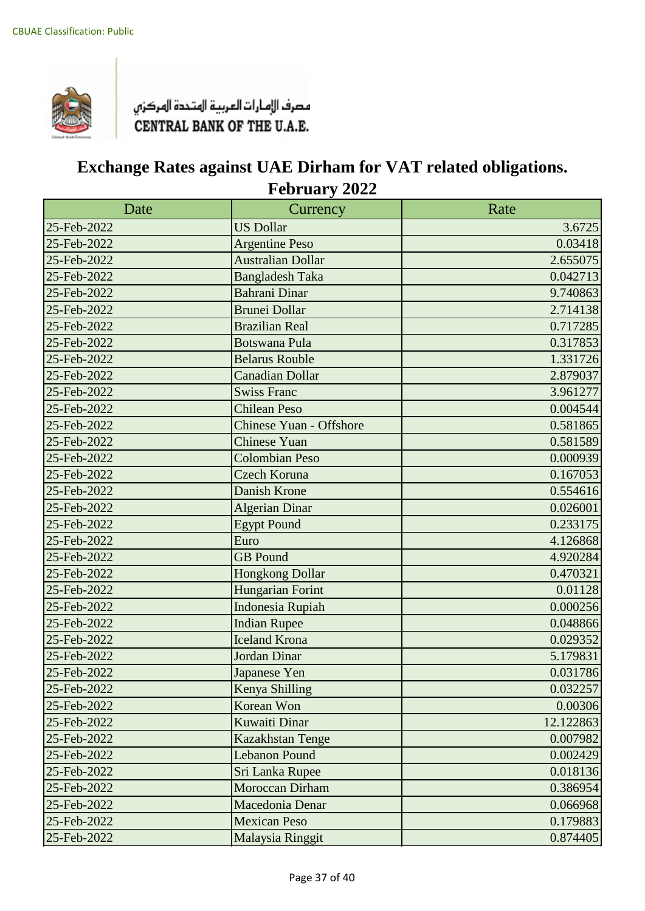

| Date        | Currency                 | Rate      |
|-------------|--------------------------|-----------|
| 25-Feb-2022 | <b>US Dollar</b>         | 3.6725    |
| 25-Feb-2022 | <b>Argentine Peso</b>    | 0.03418   |
| 25-Feb-2022 | <b>Australian Dollar</b> | 2.655075  |
| 25-Feb-2022 | <b>Bangladesh Taka</b>   | 0.042713  |
| 25-Feb-2022 | <b>Bahrani Dinar</b>     | 9.740863  |
| 25-Feb-2022 | <b>Brunei Dollar</b>     | 2.714138  |
| 25-Feb-2022 | <b>Brazilian Real</b>    | 0.717285  |
| 25-Feb-2022 | <b>Botswana Pula</b>     | 0.317853  |
| 25-Feb-2022 | <b>Belarus Rouble</b>    | 1.331726  |
| 25-Feb-2022 | <b>Canadian Dollar</b>   | 2.879037  |
| 25-Feb-2022 | <b>Swiss Franc</b>       | 3.961277  |
| 25-Feb-2022 | <b>Chilean Peso</b>      | 0.004544  |
| 25-Feb-2022 | Chinese Yuan - Offshore  | 0.581865  |
| 25-Feb-2022 | <b>Chinese Yuan</b>      | 0.581589  |
| 25-Feb-2022 | <b>Colombian Peso</b>    | 0.000939  |
| 25-Feb-2022 | <b>Czech Koruna</b>      | 0.167053  |
| 25-Feb-2022 | Danish Krone             | 0.554616  |
| 25-Feb-2022 | <b>Algerian Dinar</b>    | 0.026001  |
| 25-Feb-2022 | <b>Egypt Pound</b>       | 0.233175  |
| 25-Feb-2022 | Euro                     | 4.126868  |
| 25-Feb-2022 | <b>GB</b> Pound          | 4.920284  |
| 25-Feb-2022 | <b>Hongkong Dollar</b>   | 0.470321  |
| 25-Feb-2022 | Hungarian Forint         | 0.01128   |
| 25-Feb-2022 | <b>Indonesia Rupiah</b>  | 0.000256  |
| 25-Feb-2022 | <b>Indian Rupee</b>      | 0.048866  |
| 25-Feb-2022 | <b>Iceland Krona</b>     | 0.029352  |
| 25-Feb-2022 | Jordan Dinar             | 5.179831  |
| 25-Feb-2022 | Japanese Yen             | 0.031786  |
| 25-Feb-2022 | Kenya Shilling           | 0.032257  |
| 25-Feb-2022 | Korean Won               | 0.00306   |
| 25-Feb-2022 | <b>Kuwaiti Dinar</b>     | 12.122863 |
| 25-Feb-2022 | Kazakhstan Tenge         | 0.007982  |
| 25-Feb-2022 | <b>Lebanon Pound</b>     | 0.002429  |
| 25-Feb-2022 | Sri Lanka Rupee          | 0.018136  |
| 25-Feb-2022 | Moroccan Dirham          | 0.386954  |
| 25-Feb-2022 | Macedonia Denar          | 0.066968  |
| 25-Feb-2022 | <b>Mexican Peso</b>      | 0.179883  |
| 25-Feb-2022 | Malaysia Ringgit         | 0.874405  |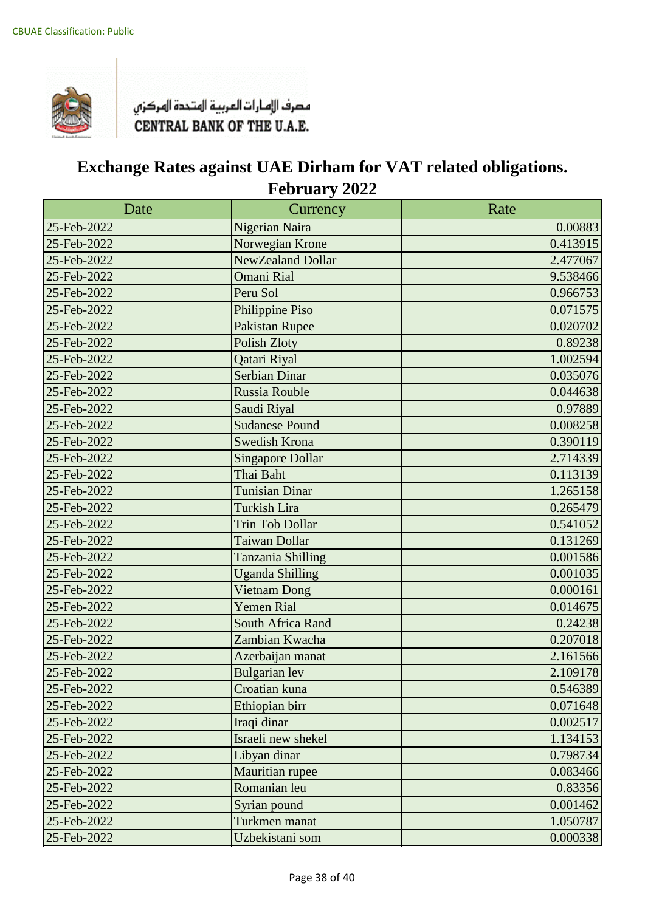

| Date        | Currency                | Rate     |
|-------------|-------------------------|----------|
| 25-Feb-2022 | Nigerian Naira          | 0.00883  |
| 25-Feb-2022 | Norwegian Krone         | 0.413915 |
| 25-Feb-2022 | NewZealand Dollar       | 2.477067 |
| 25-Feb-2022 | <b>Omani Rial</b>       | 9.538466 |
| 25-Feb-2022 | Peru Sol                | 0.966753 |
| 25-Feb-2022 | Philippine Piso         | 0.071575 |
| 25-Feb-2022 | <b>Pakistan Rupee</b>   | 0.020702 |
| 25-Feb-2022 | <b>Polish Zloty</b>     | 0.89238  |
| 25-Feb-2022 | Qatari Riyal            | 1.002594 |
| 25-Feb-2022 | <b>Serbian Dinar</b>    | 0.035076 |
| 25-Feb-2022 | <b>Russia Rouble</b>    | 0.044638 |
| 25-Feb-2022 | Saudi Riyal             | 0.97889  |
| 25-Feb-2022 | <b>Sudanese Pound</b>   | 0.008258 |
| 25-Feb-2022 | <b>Swedish Krona</b>    | 0.390119 |
| 25-Feb-2022 | <b>Singapore Dollar</b> | 2.714339 |
| 25-Feb-2022 | Thai Baht               | 0.113139 |
| 25-Feb-2022 | <b>Tunisian Dinar</b>   | 1.265158 |
| 25-Feb-2022 | <b>Turkish Lira</b>     | 0.265479 |
| 25-Feb-2022 | <b>Trin Tob Dollar</b>  | 0.541052 |
| 25-Feb-2022 | Taiwan Dollar           | 0.131269 |
| 25-Feb-2022 | Tanzania Shilling       | 0.001586 |
| 25-Feb-2022 | <b>Uganda Shilling</b>  | 0.001035 |
| 25-Feb-2022 | <b>Vietnam Dong</b>     | 0.000161 |
| 25-Feb-2022 | <b>Yemen Rial</b>       | 0.014675 |
| 25-Feb-2022 | South Africa Rand       | 0.24238  |
| 25-Feb-2022 | Zambian Kwacha          | 0.207018 |
| 25-Feb-2022 | Azerbaijan manat        | 2.161566 |
| 25-Feb-2022 | <b>Bulgarian</b> lev    | 2.109178 |
| 25-Feb-2022 | Croatian kuna           | 0.546389 |
| 25-Feb-2022 | Ethiopian birr          | 0.071648 |
| 25-Feb-2022 | Iraqi dinar             | 0.002517 |
| 25-Feb-2022 | Israeli new shekel      | 1.134153 |
| 25-Feb-2022 | Libyan dinar            | 0.798734 |
| 25-Feb-2022 | Mauritian rupee         | 0.083466 |
| 25-Feb-2022 | Romanian leu            | 0.83356  |
| 25-Feb-2022 | Syrian pound            | 0.001462 |
| 25-Feb-2022 | Turkmen manat           | 1.050787 |
| 25-Feb-2022 | Uzbekistani som         | 0.000338 |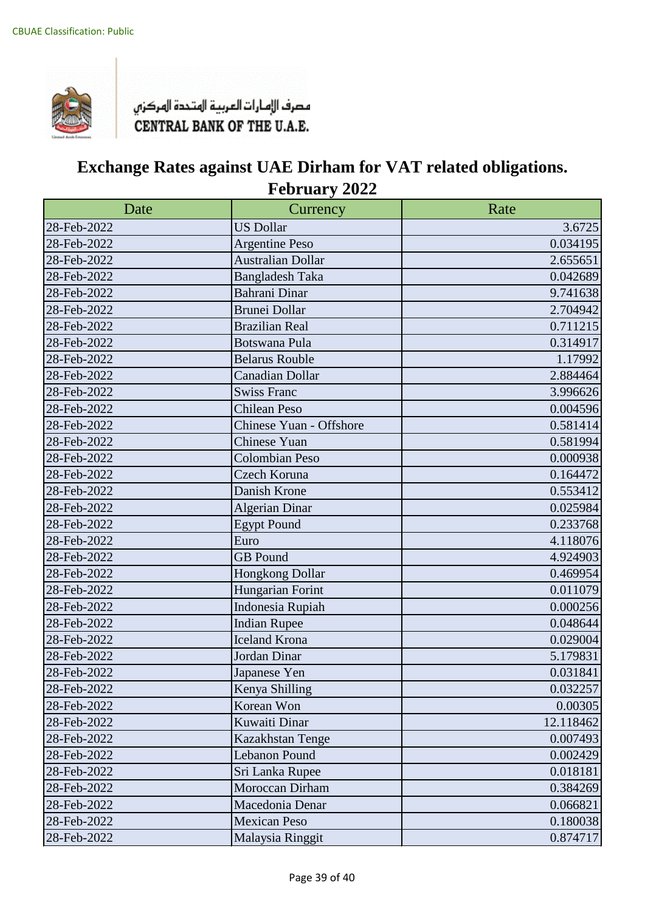

| Date        | Currency                 | Rate      |
|-------------|--------------------------|-----------|
| 28-Feb-2022 | <b>US Dollar</b>         | 3.6725    |
| 28-Feb-2022 | <b>Argentine Peso</b>    | 0.034195  |
| 28-Feb-2022 | <b>Australian Dollar</b> | 2.655651  |
| 28-Feb-2022 | <b>Bangladesh Taka</b>   | 0.042689  |
| 28-Feb-2022 | Bahrani Dinar            | 9.741638  |
| 28-Feb-2022 | <b>Brunei Dollar</b>     | 2.704942  |
| 28-Feb-2022 | <b>Brazilian Real</b>    | 0.711215  |
| 28-Feb-2022 | <b>Botswana Pula</b>     | 0.314917  |
| 28-Feb-2022 | <b>Belarus Rouble</b>    | 1.17992   |
| 28-Feb-2022 | Canadian Dollar          | 2.884464  |
| 28-Feb-2022 | <b>Swiss Franc</b>       | 3.996626  |
| 28-Feb-2022 | <b>Chilean Peso</b>      | 0.004596  |
| 28-Feb-2022 | Chinese Yuan - Offshore  | 0.581414  |
| 28-Feb-2022 | <b>Chinese Yuan</b>      | 0.581994  |
| 28-Feb-2022 | <b>Colombian Peso</b>    | 0.000938  |
| 28-Feb-2022 | Czech Koruna             | 0.164472  |
| 28-Feb-2022 | Danish Krone             | 0.553412  |
| 28-Feb-2022 | <b>Algerian Dinar</b>    | 0.025984  |
| 28-Feb-2022 | <b>Egypt Pound</b>       | 0.233768  |
| 28-Feb-2022 | Euro                     | 4.118076  |
| 28-Feb-2022 | <b>GB</b> Pound          | 4.924903  |
| 28-Feb-2022 | <b>Hongkong Dollar</b>   | 0.469954  |
| 28-Feb-2022 | Hungarian Forint         | 0.011079  |
| 28-Feb-2022 | Indonesia Rupiah         | 0.000256  |
| 28-Feb-2022 | <b>Indian Rupee</b>      | 0.048644  |
| 28-Feb-2022 | Iceland Krona            | 0.029004  |
| 28-Feb-2022 | Jordan Dinar             | 5.179831  |
| 28-Feb-2022 | Japanese Yen             | 0.031841  |
| 28-Feb-2022 | Kenya Shilling           | 0.032257  |
| 28-Feb-2022 | Korean Won               | 0.00305   |
| 28-Feb-2022 | Kuwaiti Dinar            | 12.118462 |
| 28-Feb-2022 | Kazakhstan Tenge         | 0.007493  |
| 28-Feb-2022 | Lebanon Pound            | 0.002429  |
| 28-Feb-2022 | Sri Lanka Rupee          | 0.018181  |
| 28-Feb-2022 | Moroccan Dirham          | 0.384269  |
| 28-Feb-2022 | Macedonia Denar          | 0.066821  |
| 28-Feb-2022 | <b>Mexican Peso</b>      | 0.180038  |
| 28-Feb-2022 | Malaysia Ringgit         | 0.874717  |